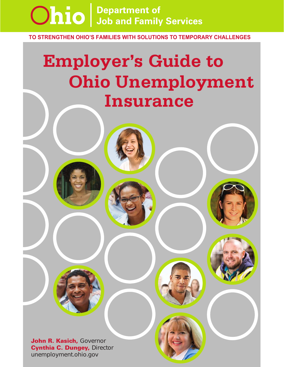

**TO STRENGTHEN OHIO'S FAMILIES WITH SOLUTIONS TO TEMPORARY CHALLENGES**

# **Employer's Guide to Ohio Unemployment Insurance**

John R. Kasich, Governor Cynthia C. Dungey, Director unemployment.ohio.gov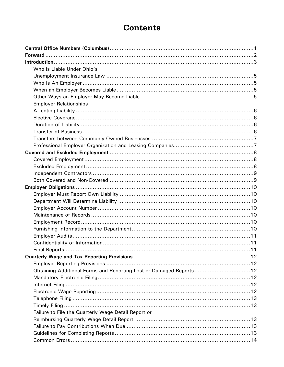# **Contents**

| Who is Liable Under Ohio's                                         |
|--------------------------------------------------------------------|
|                                                                    |
|                                                                    |
|                                                                    |
|                                                                    |
| <b>Employer Relationships</b>                                      |
|                                                                    |
|                                                                    |
|                                                                    |
|                                                                    |
|                                                                    |
|                                                                    |
|                                                                    |
|                                                                    |
|                                                                    |
|                                                                    |
|                                                                    |
|                                                                    |
|                                                                    |
|                                                                    |
|                                                                    |
|                                                                    |
|                                                                    |
|                                                                    |
|                                                                    |
|                                                                    |
|                                                                    |
|                                                                    |
|                                                                    |
| Obtaining Additional Forms and Reporting Lost or Damaged Reports12 |
|                                                                    |
|                                                                    |
|                                                                    |
|                                                                    |
|                                                                    |
| Failure to File the Quarterly Wage Detail Report or                |
|                                                                    |
|                                                                    |
|                                                                    |
|                                                                    |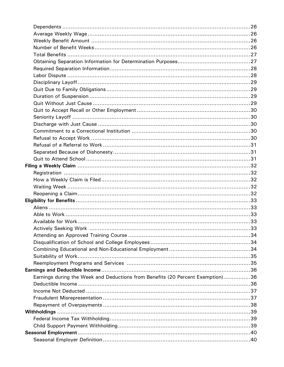| Earnings during the Week and Deductions from Benefits (20 Percent Exemption)36 |  |
|--------------------------------------------------------------------------------|--|
|                                                                                |  |
|                                                                                |  |
|                                                                                |  |
|                                                                                |  |
|                                                                                |  |
|                                                                                |  |
|                                                                                |  |
|                                                                                |  |
|                                                                                |  |
|                                                                                |  |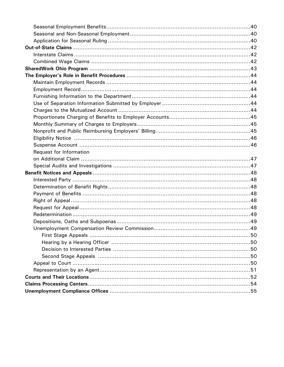| Request for Information |  |
|-------------------------|--|
|                         |  |
|                         |  |
|                         |  |
|                         |  |
|                         |  |
|                         |  |
|                         |  |
|                         |  |
|                         |  |
|                         |  |
|                         |  |
|                         |  |
|                         |  |
|                         |  |
|                         |  |
|                         |  |
|                         |  |
|                         |  |
|                         |  |
|                         |  |
|                         |  |
|                         |  |
|                         |  |
|                         |  |
|                         |  |
|                         |  |
|                         |  |
|                         |  |
|                         |  |
|                         |  |
|                         |  |
|                         |  |
|                         |  |
|                         |  |
|                         |  |
|                         |  |
|                         |  |
|                         |  |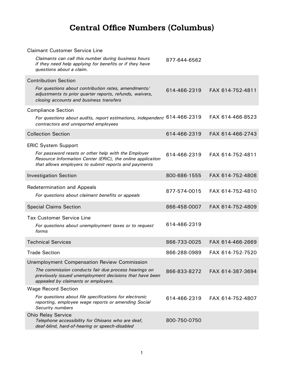# **Central Office Numbers (Columbus)**

<span id="page-5-0"></span>

| <b>Claimant Customer Service Line</b>                                                                                                                                     |              |                  |
|---------------------------------------------------------------------------------------------------------------------------------------------------------------------------|--------------|------------------|
| Claimants can call this number during business hours<br>if they need help applying for benefits or if they have<br>questions about a claim.                               | 877-644-6562 |                  |
| <b>Contribution Section</b>                                                                                                                                               |              |                  |
| For questions about contribution rates, amendments/<br>adjustments to prior quarter reports, refunds, waivers,<br>closing accounts and business transfers                 | 614-466-2319 | FAX 614-752-4811 |
| <b>Compliance Section</b>                                                                                                                                                 |              |                  |
| For questions about audits, report estimations, independent 614-466-2319<br>contractors and unreported employees                                                          |              | FAX 614-466-8523 |
| <b>Collection Section</b>                                                                                                                                                 | 614-466-2319 | FAX 614-466-2743 |
| <b>ERIC System Support</b>                                                                                                                                                |              |                  |
| For password resets or other help with the Employer<br>Resource Information Center (ERIC), the online application<br>that allows employers to submit reports and payments | 614-466-2319 | FAX 614-752-4811 |
| <b>Investigation Section</b>                                                                                                                                              | 800-686-1555 | FAX 614-752-4808 |
| <b>Redetermination and Appeals</b><br>For questions about claimant benefits or appeals                                                                                    | 877-574-0015 | FAX 614-752-4810 |
| <b>Special Claims Section</b>                                                                                                                                             | 866-458-0007 | FAX 614-752-4809 |
| <b>Tax Customer Service Line</b>                                                                                                                                          |              |                  |
| For questions about unemployment taxes or to request<br>forms                                                                                                             | 614-466-2319 |                  |
| <b>Technical Services</b>                                                                                                                                                 | 866-733-0025 | FAX 614-466-2669 |
| <b>Trade Section</b>                                                                                                                                                      | 866-288-0989 | FAX 614-752-7520 |
| <b>Unemployment Compensation Review Commission</b>                                                                                                                        |              |                  |
| The commission conducts fair due process hearings on<br>previously issued unemployment decisions that have been<br>appealed by claimants or employers.                    | 866-833-8272 | FAX 614-387-3694 |
| <b>Wage Record Section</b>                                                                                                                                                |              |                  |
| For questions about file specifications for electronic<br>reporting, employee wage reports or amending Social<br>Security numbers                                         | 614-466-2319 | FAX 614-752-4807 |
| <b>Ohio Relay Service</b><br>Telephone accessibility for Ohioans who are deaf,<br>deaf-blind, hard-of-hearing or speech-disabled                                          | 800-750-0750 |                  |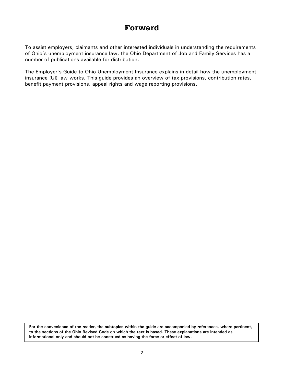# **Forward**

<span id="page-6-0"></span>To assist employers, claimants and other interested individuals in understanding the requirements of Ohio's unemployment insurance law, the Ohio Department of Job and Family Services has a number of publications available for distribution.

The Employer's Guide to Ohio Unemployment Insurance explains in detail how the unemployment insurance (UI) law works. This guide provides an overview of tax provisions, contribution rates, benefit payment provisions, appeal rights and wage reporting provisions.

**For the convenience of the reader, the subtopics within the guide are accompanied by references, where pertinent, to the sections of the Ohio Revised Code on which the text is based. These explanations are intended as informational only and should not be construed as having the force or effect of law.**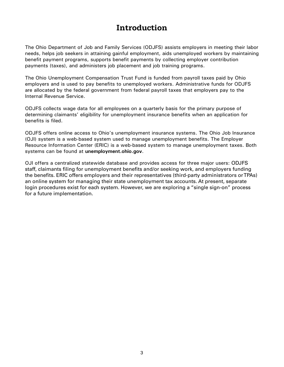# **Introduction**

The Ohio Department of Job and Family Services (ODJFS) assists employers in meeting their labor needs, helps job seekers in attaining gainful employment, aids unemployed workers by maintaining benefit payment programs, supports benefit payments by collecting employer contribution payments (taxes), and administers job placement and job training programs.

The Ohio Unemployment Compensation Trust Fund is funded from payroll taxes paid by Ohio employers and is used to pay benefits to unemployed workers. Administrative funds for ODJFS are allocated by the federal government from federal payroll taxes that employers pay to the Internal Revenue Service.

ODJFS collects wage data for all employees on a quarterly basis for the primary purpose of determining claimants' eligibility for unemployment insurance benefits when an application for benefits is filed.

ODJFS offers online access to Ohio's unemployment insurance systems. The Ohio Job Insurance (OJI) system is a web-based system used to manage unemployment benefits. The Employer Resource Information Center (ERIC) is a web-based system to manage unemployment taxes. Both systems can be found at **[unemployment.ohio.gov](http://www.unemployment.ohio.gov)**.

OJI offers a centralized statewide database and provides access for three major users: ODJFS staff, claimants filing for unemployment benefits and/or seeking work, and employers funding the benefits. ERIC offers employers and their representatives (third-party administrators or TPAs) an online system for managing their state unemployment tax accounts. At present, separate login procedures exist for each system. However, we are exploring a "single sign-on" process for a future implementation.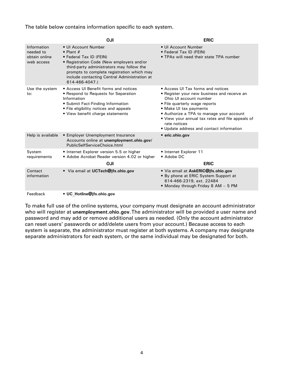<span id="page-8-0"></span>The table below contains information specific to each system.

|                                                         | OJI                                                                                                                                                                                                                                                                           | <b>ERIC</b>                                                                                                                                                                                                                                                                                                                       |
|---------------------------------------------------------|-------------------------------------------------------------------------------------------------------------------------------------------------------------------------------------------------------------------------------------------------------------------------------|-----------------------------------------------------------------------------------------------------------------------------------------------------------------------------------------------------------------------------------------------------------------------------------------------------------------------------------|
| Information<br>needed to<br>obtain online<br>web access | • UI Account Number<br>$\bullet$ Plant #<br>• Federal Tax ID (FEIN)<br>• Registration Code (New employers and/or<br>third-party administrators may follow the<br>prompts to complete registration which may<br>include contacting Central Administration at<br>614-466-4047.) | • UI Account Number<br>• Federal Tax ID (FEIN)<br>• TPAs will need their state TPA number                                                                                                                                                                                                                                         |
| Use the system<br>to:                                   | • Access UI Benefit forms and notices<br>• Respond to Requests for Separation<br>Information<br>• Submit Fact-Finding Information<br>• File eligibility notices and appeals<br>• View benefit charge statements                                                               | • Access UI Tax forms and notices<br>• Register your new business and receive an<br>Ohio UI account number<br>• File quarterly wage reports<br>• Make UI tax payments<br>• Authorize a TPA to manage your account<br>• View your annual tax rates and file appeals of<br>rate notices<br>• Update address and contact information |
| Help is available                                       | • Employer Unemployment Insurance<br>Accounts online at unemployment.ohio.gov/<br>PublicSelfServiceChoice.html                                                                                                                                                                | • eric.ohio.gov                                                                                                                                                                                                                                                                                                                   |
| System<br>requirements                                  | • Internet Explorer version 5.5 or higher<br>• Adobe Acrobat Reader version 4.02 or higher<br><b>OJI</b>                                                                                                                                                                      | • Internet Explorer 11<br>• Adobe DC<br><b>ERIC</b>                                                                                                                                                                                                                                                                               |
| Contact<br>information                                  | • Via email at UCTech@jfs.ohio.gov                                                                                                                                                                                                                                            | · Via email at AskERIC@jfs.ohio.gov<br>• By phone at ERIC System Support at<br>614-466-2319, ext. 22484<br>• Monday through Friday 8 AM - 5 PM                                                                                                                                                                                    |
| Feedback                                                | • UC Hotline@jfs.ohio.gov                                                                                                                                                                                                                                                     |                                                                                                                                                                                                                                                                                                                                   |

To make full use of the online systems, your company must designate an account administrator who will register at **[unemployment.ohio.gov](http://www.unemployment.ohio.gov)**. The administrator will be provided a user name and password and may add or remove additional users as needed. (Only the account administrator can reset users' passwords or add/delete users from your account.) Because access to each system is separate, the administrator must register at both systems. A company may designate separate administrators for each system, or the same individual may be designated for both.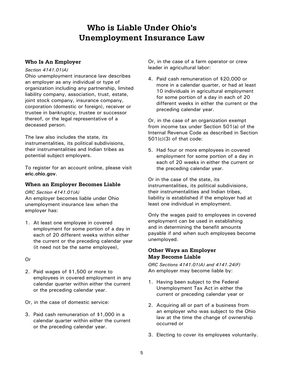# **Who is Liable Under Ohio's Unemployment Insurance Law**

# <span id="page-9-0"></span>**Who Is An Employer**

#### *Section 4141.01(A)*

Ohio unemployment insurance law describes an employer as any individual or type of organization including any partnership, limited liability company, association, trust, estate, joint stock company, insurance company, corporation (domestic or foreign), receiver or trustee in bankruptcy, trustee or successor thereof, or the legal representative of a deceased person.

The law also includes the state, its instrumentalities, its political subdivisions, their instrumentalities and Indian tribes as potential subject employers.

To register for an account online, please visit **eri[c.ohio.gov](https://eric.ohio.gov/)**.

# **When an Employer Becomes Liable**

*ORC Section 4141.01(A)*

An employer becomes liable under Ohio unemployment insurance law when the employer has:

1. At least one employee in covered employment for some portion of a day in each of 20 different weeks within either the current or the preceding calendar year (it need not be the same employee),

# Or

- 2. Paid wages of \$1,500 or more to employees in covered employment in any calendar quarter within either the current or the preceding calendar year.
- Or, in the case of domestic service:
- 3. Paid cash remuneration of \$1,000 in a calendar quarter within either the current or the preceding calendar year.

Or, in the case of a farm operator or crew leader in agricultural labor:

4. Paid cash remuneration of \$20,000 or more in a calendar quarter, or had at least 10 individuals in agricultural employment for some portion of a day in each of 20 different weeks in either the current or the preceding calendar year.

Or, in the case of an organization exempt from income tax under Section 501(a) of the Internal Revenue Code as described in Section 501(c)(3) of that code:

5. Had four or more employees in covered employment for some portion of a day in each of 20 weeks in either the current or the preceding calendar year.

Or in the case of the state, its instrumentalities, its political subdivisions, their instrumentalities and Indian tribes, liability is established if the employer had at least one individual in employment.

Only the wages paid to employees in covered employment can be used in establishing and in determining the benefit amounts payable if and when such employees become unemployed.

# **Other Ways an Employer May Become Liable**

*ORC Sections 4141.01(A) and 4141.24(F)*  An employer may become liable by:

- 1. Having been subject to the Federal Unemployment Tax Act in either the current or preceding calendar year or
- 2. Acquiring all or part of a business from an employer who was subject to the Ohio law at the time the change of ownership occurred or
- 3. Electing to cover its employees voluntarily.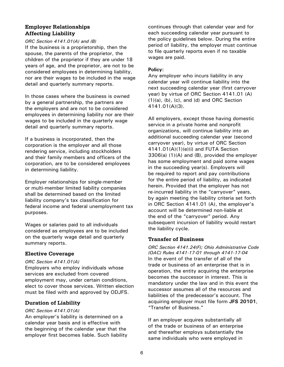# <span id="page-10-0"></span>**Employer Relationships Affecting Liability**

#### *ORC Section 4141.01(A) and (B)*

If the business is a proprietorship, then the spouse, the parents of the proprietor, the children of the proprietor if they are under 18 years of age, and the proprietor, are not to be considered employees in determining liability, nor are their wages to be included in the wage detail and quarterly summary reports.

In those cases where the business is owned by a general partnership, the partners are the employers and are not to be considered employees in determining liability nor are their wages to be included in the quarterly wage detail and quarterly summary reports.

If a business is incorporated, then the corporation is the employer and all those rendering service, including stockholders and their family members and officers of the corporation, are to be considered employees in determining liability.

Employer relationships for single-member or multi-member limited liability companies shall be determined based on the limited liability company's tax classification for federal income and federal unemployment tax purposes.

Wages or salaries paid to all individuals considered as employees are to be included on the quarterly wage detail and quarterly summary reports.

# **Elective Coverage**

#### *ORC Section 4141.01(A)*

Employers who employ individuals whose services are excluded from covered employment may, under certain conditions, elect to cover those services. Written election must be filed with and approved by ODJFS.

# **Duration of Liability**

#### *ORC Section 4141.01(A)*

An employer's liability is determined on a calendar year basis and is effective with the beginning of the calendar year that the employer first becomes liable. Such liability

continues through that calendar year and for each succeeding calendar year pursuant to the policy guidelines below. During the entire period of liability, the employer must continue to file quarterly reports even if no taxable wages are paid.

#### **Policy:**

Any employer who incurs liability in any calendar year will continue liability into the next succeeding calendar year (first carryover year) by virtue of ORC Section 4141.01 (A) (1)(a), (b), (c), and (d) and ORC Section 4141.01(A)(3).

All employers, except those having domestic service in a private home and nonprofit organizations, will continue liability into an additional succeeding calendar year (second carryover year), by virtue of ORC Section 4141.01(A)(1)(e)(i) and FUTA Section 3306(a) (1)(A) and (B), provided the employer has some employment and paid some wages in the succeeding year(s). Employers will be required to report and pay contributions for the entire period of liability, as indicated herein. Provided that the employer has not re-incurred liability in the "carryover" years, by again meeting the liability criteria set forth in ORC Section 4141.01 (A), the employer's account will be determined non-liable at the end of the "carryover" period. Any subsequent incursion of liability would restart the liability cycle.

# **Transfer of Business**

*ORC Section 4141.24(F); Ohio Administrative Code (OAC) Rules 4141-17-01 through 4141-17-04* In the event of the transfer of all of the trade or business of an enterprise that is in operation, the entity acquiring the enterprise becomes the successor in interest. This is mandatory under the law and in this event the successor assumes all of the resources and liabilities of the predecessor's account. The acquiring employer must file form **[JFS 20101](http://www.odjfs.state.oh.us/forms/interfind.asp?formnum=20101)**, "Transfer of Business."

If an employer acquires substantially all of the trade or business of an enterprise and thereafter employs substantially the same individuals who were employed in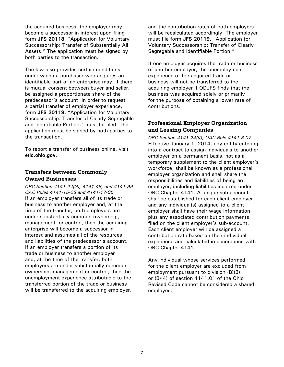<span id="page-11-0"></span>the acquired business, the employer may become a successor in interest upon filing form **[JFS 20118](http://www.odjfs.state.oh.us/forms/interfind.asp?formnum=20118)**, "Application for Voluntary Successorship: Transfer of Substantially All Assets." The application must be signed by both parties to the transaction.

The law also provides certain conditions under which a purchaser who acquires an identifiable part of an enterprise may, if there is mutual consent between buyer and seller, be assigned a proportionate share of the predecessor's account. In order to request a partial transfer of employer experience, form **[JFS 20119](http://www.odjfs.state.oh.us/forms/interfind.asp?formnum=20119)**, "Application for Voluntary Successorship: Transfer of Clearly Segregable and Identifiable Portion," must be filed. The application must be signed by both parties to the transaction.

To report a transfer of business online, visit **eri[c.ohio.gov](https://eric.ohio.gov/)**.

# **Transfers between Commonly Owned Businesses**

*ORC Section 4141.24(G), 4141.48, and 4141.99; OAC Rules 4141-15-08 and 4141-17-05* If an employer transfers all of its trade or business to another employer and, at the time of the transfer, both employers are under substantially common ownership, management, or control, then the acquiring enterprise will become a successor in interest and assumes all of the resources and liabilities of the predecessor's account. If an employer transfers a portion of its trade or business to another employer and, at the time of the transfer, both employers are under substantially common ownership, management or control, then the unemployment experience attributable to the transferred portion of the trade or business will be transferred to the acquiring employer,

and the contribution rates of both employers will be recalculated accordingly. The employer must file form **[JFS 20119](http://www.odjfs.state.oh.us/forms/interfind.asp?formnum=20119)**, "Application for Voluntary Successorship: Transfer of Clearly Segregable and Identifiable Portion."

If one employer acquires the trade or business of another employer, the unemployment experience of the acquired trade or business will not be transferred to the acquiring employer if ODJFS finds that the business was acquired solely or primarily for the purpose of obtaining a lower rate of contributions.

# **Professional Employer Organization and Leasing Companies**

*ORC Section 4141.24(K); OAC Rule 4141-3-07* Effective January 1, 2014, any entity entering into a contract to assign individuals to another employer on a permanent basis, not as a temporary supplement to the client employer's workforce, shall be known as a professional employer organization and shall share the responsibilities and liabilities of being an employer, including liabilities incurred under ORC Chapter 4141. A unique sub-account shall be established for each client employer and any individual(s) assigned to a client employer shall have their wage information, plus any associated contribution payments, filed on the client employer's sub-account. Each client employer will be assigned a contribution rate based on their individual experience and calculated in accordance with ORC Chapter 4141.

Any individual whose services performed for the client employer are excluded from employment pursuant to division (B)(3) or (B)(4) of section 4141.01 of the Ohio Revised Code cannot be considered a shared employee.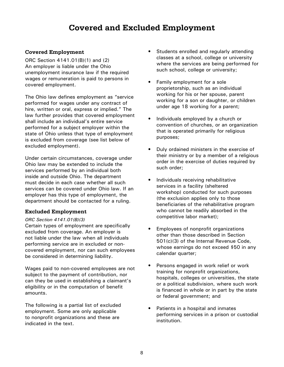# **Covered and Excluded Employment**

# <span id="page-12-0"></span>**Covered Employment**

ORC Section 4141.01(B)(1) and (2) An employer is liable under the Ohio unemployment insurance law if the required wages or remuneration is paid to persons in covered employment.

The Ohio law defines employment as "service performed for wages under any contract of hire, written or oral, express or implied." The law further provides that covered employment shall include an individual's entire service performed for a subject employer within the state of Ohio unless that type of employment is excluded from coverage (see list below of excluded employment).

Under certain circumstances, coverage under Ohio law may be extended to include the services performed by an individual both inside and outside Ohio. The department must decide in each case whether all such services can be covered under Ohio law. If an employer has this type of employment, the department should be contacted for a ruling.

# **Excluded Employment**

#### *ORC Section 4141.01(B)(3)*

Certain types of employment are specifically excluded from coverage. An employer is not liable under the law when all individuals performing service are in excluded or noncovered employment, nor can such employees be considered in determining liability.

Wages paid to non-covered employees are not subject to the payment of contribution, nor can they be used in establishing a claimant's eligibility or in the computation of benefit amounts.

The following is a partial list of excluded employment. Some are only applicable to nonprofit organizations and these are indicated in the text.

- Students enrolled and regularly attending classes at a school, college or university where the services are being performed for such school, college or university;
- Family employment for a sole proprietorship, such as an individual working for his or her spouse, parent working for a son or daughter, or children under age 18 working for a parent;
- Individuals employed by a church or convention of churches, or an organization that is operated primarily for religious purposes;
- Duly ordained ministers in the exercise of their ministry or by a member of a religious order in the exercise of duties required by such order;
- Individuals receiving rehabilitative services in a facility (sheltered workshop) conducted for such purposes (the exclusion applies only to those beneficiaries of the rehabilitative program who cannot be readily absorbed in the competitive labor market);
- Employees of nonprofit organizations other than those described in Section 501(c)(3) of the Internal Revenue Code, whose earnings do not exceed \$50 in any calendar quarter;
- Persons engaged in work relief or work training for nonprofit organizations, hospitals, colleges or universities, the state or a political subdivision, where such work is financed in whole or in part by the state or federal government; and
- Patients in a hospital and inmates performing services in a prison or custodial institution.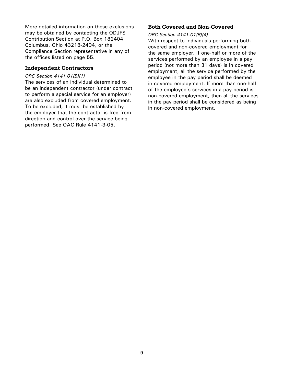<span id="page-13-0"></span>More detailed information on these exclusions may be obtained by contacting the ODJFS Contribution Section at P.O. Box 182404, Columbus, Ohio 43218-2404, or the Compliance Section representative in any of the offices listed on page **55**.

#### **Independent Contractors**

#### *ORC Section 4141.01(B)(1)*

The services of an individual determined to be an independent contractor (under contract to perform a special service for an employer) are also excluded from covered employment. To be excluded, it must be established by the employer that the contractor is free from direction and control over the service being performed. See OAC Rule 4141-3-05.

# **Both Covered and Non-Covered**

#### *ORC Section 4141.01(B)(4)*

With respect to individuals performing both covered and non-covered employment for the same employer, if one-half or more of the services performed by an employee in a pay period (not more than 31 days) is in covered employment, all the service performed by the employee in the pay period shall be deemed in covered employment. If more than one-half of the employee's services in a pay period is non-covered employment, then all the services in the pay period shall be considered as being in non-covered employment.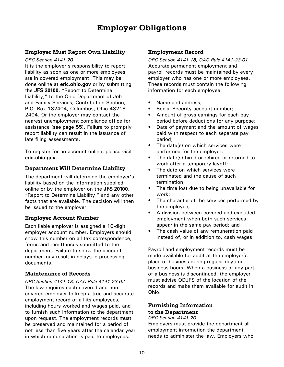# **Employer Obligations**

# <span id="page-14-0"></span>**Employer Must Report Own Liability**

#### *ORC Section 4141.20*

It is the employer's responsibility to report liability as soon as one or more employees are in covered employment. This may be done online at **[eric.ohio.gov](https://eric.ohio.gov/)** or by submitting the **JFS 20100**[, "Report to Determine](http://www.odjfs.state.oh.us/forms/interfind.asp?formnum=20100)  [Liability,"](http://www.odjfs.state.oh.us/forms/interfind.asp?formnum=20100) to the Ohio Department of Job and Family Services, Contribution Section, P.O. Box 182404, Columbus, Ohio 43218- 2404. Or the employer may contact the nearest unemployment compliance office for assistance (**[see page 55](#page-59-0)**). Failure to promptly report liability can result in the issuance of late filing assessments.

To register for an account online, please visit **eri[c.ohio.g](https://eric.ohio.gov/)ov**.

# **Department Will Determine Liability**

The department will determine the employer's liability based on the information supplied online or by the employer on the **[JFS 20100](http://www.odjfs.state.oh.us/forms/interfind.asp?formnum=20100)**, ["Report to Determine Liability,"](http://www.odjfs.state.oh.us/forms/interfind.asp?formnum=20100) and any other facts that are available. The decision will then be issued to the employer.

# **Employer Account Number**

Each liable employer is assigned a 10-digit employer account number. Employers should show this number on all tax correspondence, forms and remittances submitted to the department. Failure to show the account number may result in delays in processing documents.

#### **Maintenance of Records**

*ORC Section 4141.18, OAC Rule 4141-23-02* The law requires each covered and noncovered employer to keep a true and accurate employment record of all its employees, including hours worked and wages paid, and to furnish such information to the department upon request. The employment records must be preserved and maintained for a period of not less than five years after the calendar year in which remuneration is paid to employees.

#### **Employment Record**

*ORC Section 4141.18; OAC Rule 4141-23-01* Accurate permanent employment and payroll records must be maintained by every employer who has one or more employees. These records must contain the following information for each employee:

- Name and address:
- Social Security account number;
- Amount of gross earnings for each pay period before deductions for any purpose;
- Date of payment and the amount of wages paid with respect to each separate pay period;
- The date(s) on which services were performed for the employer;
- The date(s) hired or rehired or returned to work after a temporary layoff;
- The date on which services were terminated and the cause of such termination;
- The time lost due to being unavailable for work;
- The character of the services performed by the employee;
- A division between covered and excluded employment when both such services appear in the same pay period; and
- The cash value of any remuneration paid instead of, or in addition to, cash wages.

Payroll and employment records must be made available for audit at the employer's place of business during regular daytime business hours. When a business or any part of a business is discontinued, the employer must advise ODJFS of the location of the records and make them available for audit in Ohio.

#### **Furnishing Information to the Department** *ORC Section 4141.20*

# Employers must provide the department all employment information the department needs to administer the law. Employers who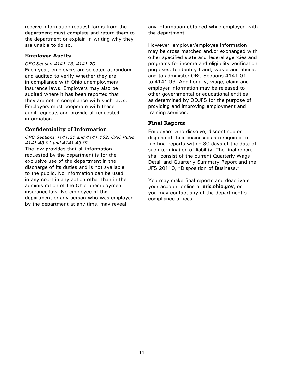<span id="page-15-0"></span>receive information request forms from the department must complete and return them to the department or explain in writing why they are unable to do so.

# **Employer Audits**

#### *ORC Section 4141.13, 4141.20*

Each year, employers are selected at random and audited to verify whether they are in compliance with Ohio unemployment insurance laws. Employers may also be audited where it has been reported that they are not in compliance with such laws. Employers must cooperate with these audit requests and provide all requested information.

# **Confidentiality of Information**

*ORC Sections 4141.21 and 4141.162; OAC Rules 4141-43-01 and 4141-43-02* The law provides that all information requested by the department is for the exclusive use of the department in the discharge of its duties and is not available to the public. No information can be used in any court in any action other than in the administration of the Ohio unemployment insurance law. No employee of the department or any person who was employed by the department at any time, may reveal

any information obtained while employed with the department.

However, employer/employee information may be cross matched and/or exchanged with other specified state and federal agencies and programs for income and eligibility verification purposes, to identify fraud, waste and abuse, and to administer ORC Sections 4141.01 to 4141.99. Additionally, wage, claim and employer information may be released to other governmental or educational entities as determined by ODJFS for the purpose of providing and improving employment and training services.

# **Final Reports**

Employers who dissolve, discontinue or dispose of their businesses are required to file final reports within 30 days of the date of such termination of liability. The final report shall consist of the current Quarterly Wage Detail and Quarterly Summary Report and the JFS 20110, "Disposition of Business."

You may make final reports and deactivate your account online at **[eric.ohio.gov](https://eric.ohio.gov/)**, or you may contact any of the department's compliance offices.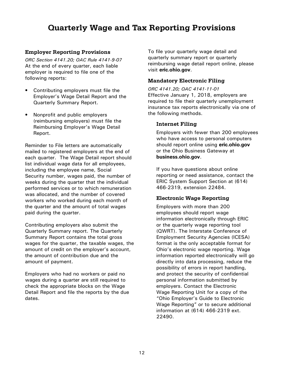# <span id="page-16-0"></span>**Quarterly Wage and Tax Reporting Provisions**

# **Employer Reporting Provisions**

*ORC Section 4141.20; OAC Rule 4141-9-07* At the end of every quarter, each liable employer is required to file one of the following reports:

- Contributing employers must file the Employer's Wage Detail Report and the Quarterly Summary Report.
- Nonprofit and public employers (reimbursing employers) must file the Reimbursing Employer's Wage Detail Report.

Reminder to File letters are automatically mailed to registered employers at the end of each quarter. The Wage Detail report should list individual wage data for all employees, including the employee name, Social Security number, wages paid, the number of weeks during the quarter that the individual performed services or to which remuneration was allocated, and the number of covered workers who worked during each month of the quarter and the amount of total wages paid during the quarter.

Contributing employers also submit the Quarterly Summary report. The Quarterly Summary Report contains the total gross wages for the quarter, the taxable wages, the amount of credit on the employer's account, the amount of contribution due and the amount of payment.

Employers who had no workers or paid no wages during a quarter are still required to check the appropriate blocks on the Wage Detail Report and file the reports by the due dates.

To file your quarterly wage detail and quarterly summary report or quarterly reimbursing wage detail report online, please visit **[eric.ohio.gov](https://eric.ohio.gov/)**.

### **Mandatory Electronic Filing**

*ORC 4141.20; OAC 4141-11-01* Effective January 1, 2018, employers are required to file their quarterly unemployment insurance tax reports electronically via one of the following methods.

# **Internet Filing**

Employers with fewer than 200 employees who have access to personal computers should report online using **[eric.ohio.gov](https://eric.ohio.gov/)** or the Ohio Business Gateway at **[business.ohio.gov](http://business.ohio.gov/)**.

If you have questions about online reporting or need assistance, contact the ERIC System Support Section at (614) 466-2319, extension 22484.

# **Electronic Wage Reporting**

Employers with more than 200 employees should report wage information electronically through ERIC or the quarterly wage reporting tool (QWRT). The Interstate Conference of Employment Security Agencies (ICESA) format is the only acceptable format for Ohio's electronic wage reporting. Wage information reported electronically will go directly into data processing, reduce the possibility of errors in report handling, and protect the security of confidential personal information submitted by employers. Contact the Electronic Wage Reporting Unit for a copy of the "Ohio Employer's Guide to Electronic Wage Reporting" or to secure additional information at (614) 466-2319 ext. 22490.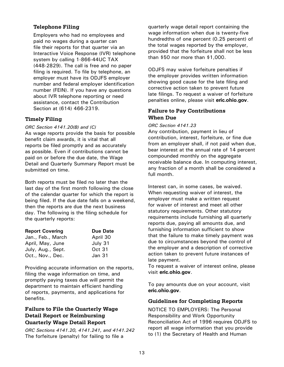# <span id="page-17-0"></span>**Telephone Filing**

Employers who had no employees and paid no wages during a quarter can file their reports for that quarter via an Interactive Voice Response (IVR) telephone system by calling 1-866-44UC TAX (448-2829). The call is free and no paper filing is required. To file by telephone, an employer must have its ODJFS employer number and federal employer identification number (FEIN). If you have any questions about IVR telephone reporting or need assistance, contact the Contribution Section at (614) 466-2319.

# **Timely Filing**

#### *ORC Section 4141.20(B) and (C)*

As wage reports provide the basis for possible benefit claim awards, it is vital that all reports be filed promptly and as accurately as possible. Even if contributions cannot be paid on or before the due date, the Wage Detail and Quarterly Summary Report must be submitted on time.

Both reports must be filed no later than the last day of the first month following the close of the calendar quarter for which the report is being filed. If the due date falls on a weekend, then the reports are due the next business day. The following is the filing schedule for the quarterly reports:

| <b>Report Covering</b> | <b>Due Date</b> |
|------------------------|-----------------|
| Jan., Feb., March      | April 30        |
| April, May, June       | July 31         |
| July, Aug., Sept.      | Oct 31          |
| Oct., Nov., Dec.       | Jan 31          |

Providing accurate information on the reports, filing the wage information on time, and promptly paying taxes due will permit the department to maintain efficient handling of reports, payments, and applications for benefits.

# **Failure to File the Quarterly Wage Detail Report or Reimbursing Quarterly Wage Detail Report**

*ORC Sections 4141.20, 4141.241, and 4141.242*  The forfeiture (penalty) for failing to file a

quarterly wage detail report containing the wage information when due is twenty-five hundredths of one percent (0.25 percent) of the total wages reported by the employer, provided that the forfeiture shall not be less than \$50 nor more than \$1,000.

ODJFS may waive forfeiture penalties if the employer provides written information showing good cause for the late filing and corrective action taken to prevent future late filings. To request a waiver of forfeiture penalties online, please visit **[eric.ohio.gov](https://eric.ohio.gov/)**.

# **Failure to Pay Contributions When Due**

#### *ORC Section 4141.23*

Any contribution, payment in lieu of contribution, interest, forfeiture, or fine due from an employer shall, if not paid when due, bear interest at the annual rate of 14 percent compounded monthly on the aggregate receivable balance due. In computing interest, any fraction of a month shall be considered a full month.

Interest can, in some cases, be waived. When requesting waiver of interest, the employer must make a written request for waiver of interest and meet all other statutory requirements. Other statutory requirements include furnishing all quarterly reports due, paying all amounts due, and furnishing information sufficient to show that the failure to make timely payment was due to circumstances beyond the control of the employer and a description of corrective action taken to prevent future instances of late payment.

To request a waiver of interest online, please visit **[eric.ohio.gov](https://eric.ohio.gov/)**.

To pay amounts due on your account, visit **[eric.ohio.gov](https://eric.ohio.gov/)**.

# **Guidelines for Completing Reports**

NOTICE TO EMPLOYERS: The Personal Responsibility and Work Opportunity Reconciliation Act of 1996 requires ODJFS to report all wage information that you provide to (1) the Secretary of Health and Human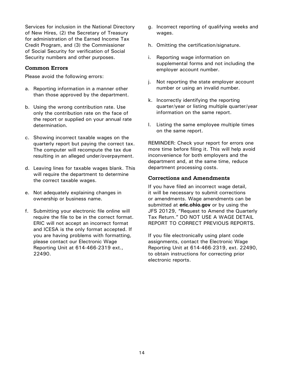<span id="page-18-0"></span>Services for inclusion in the National Directory of New Hires, (2) the Secretary of Treasury for administration of the Earned Income Tax Credit Program, and (3) the Commissioner of Social Security for verification of Social Security numbers and other purposes.

### **Common Errors**

Please avoid the following errors:

- a. Reporting information in a manner other than those approved by the department.
- b. Using the wrong contribution rate. Use only the contribution rate on the face of the report or supplied on your annual rate determination.
- c. Showing incorrect taxable wages on the quarterly report but paying the correct tax. The computer will recompute the tax due resulting in an alleged under/overpayment.
- d. Leaving lines for taxable wages blank. This will require the department to determine the correct taxable wages.
- e. Not adequately explaining changes in ownership or business name.
- f. Submitting your electronic file online will require the file to be in the correct format. ERIC will not accept an incorrect format and ICESA is the only format accepted. If you are having problems with formatting, please contact our Electronic Wage Reporting Unit at 614-466-2319 ext., 22490.
- g. Incorrect reporting of qualifying weeks and wages.
- h. Omitting the certification/signature.
- i. Reporting wage information on supplemental forms and not including the employer account number.
- j. Not reporting the state employer account number or using an invalid number.
- k. Incorrectly identifying the reporting quarter/year or listing multiple quarter/year information on the same report.
- l. Listing the same employee multiple times on the same report.

REMINDER: Check your report for errors one more time before filing it. This will help avoid inconvenience for both employers and the department and, at the same time, reduce department processing costs.

#### **Corrections and Amendments**

If you have filed an incorrect wage detail, it will be necessary to submit corrections or amendments. Wage amendments can be submitted at **[eric.ohio.gov](https://eric.ohio.gov/)** or by using the JFS 20129, "Request to Amend the Quarterly Tax Return." DO NOT USE A WAGE DETAIL REPORT TO CORRECT PREVIOUS REPORTS.

If you file electronically using plant code assignments, contact the Electronic Wage Reporting Unit at 614-466-2319, ext. 22490, to obtain instructions for correcting prior electronic reports.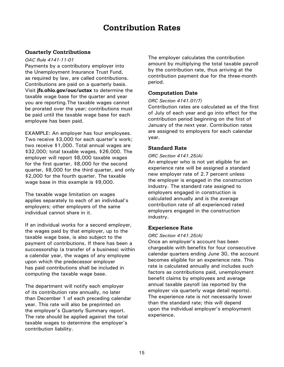# **Contribution Rates**

# <span id="page-19-0"></span>**Quarterly Contributions**

#### *OAC Rule 4141-11-01*

Payments by a contributory employer into the Unemployment Insurance Trust Fund, as required by law, are called contributions. Contributions are paid on a quarterly basis. Visit **[jfs.ohio.gov/ouc/uctax](http://jfs.ohio.gov/ouc/uctax/index.stm)** to determine the taxable wage base for the quarter and year you are reporting.The taxable wages cannot be prorated over the year; contributions must be paid until the taxable wage base for each employee has been paid.

EXAMPLE: An employer has four employees. Two receive \$3,000 for each quarter's work; two receive \$1,000. Total annual wages are \$32,000; total taxable wages, \$26,000. The employer will report \$8,000 taxable wages for the first quarter, \$8,000 for the second quarter, \$8,000 for the third quarter, and only \$2,000 for the fourth quarter. The taxable wage base in this example is \$9,000.

The taxable wage limitation on wages applies separately to each of an individual's employers; other employers of the same individual cannot share in it.

If an individual works for a second employer, the wages paid by that employer, up to the taxable wage base, is also subject to the payment of contributions. If there has been a successorship (a transfer of a business) within a calendar year, the wages of any employee upon which the predecessor employer has paid contributions shall be included in computing the taxable wage base.

The department will notify each employer of its contribution rate annually, no later than December 1 of each preceding calendar year. This rate will also be preprinted on the employer's Quarterly Summary report. The rate should be applied against the total taxable wages to determine the employer's contribution liability.

The employer calculates the contribution amount by multiplying the total taxable payroll by the contribution rate, thus arriving at the contribution payment due for the three-month period.

# **Computation Date**

#### *ORC Section 4141.01(T)*

Contribution rates are calculated as of the first of July of each year and go into effect for the contribution period beginning on the first of January of the next year. Contribution rates are assigned to employers for each calendar year.

# **Standard Rate**

#### *ORC Section 4141.25(A)*

An employer who is not yet eligible for an experience rate will be assigned a standard new employer rate of 2.7 percent unless the employer is engaged in the construction industry. The standard rate assigned to employers engaged in construction is calculated annually and is the average contribution rate of all experienced rated employers engaged in the construction industry.

#### **Experience Rate**

#### *ORC Section 4141.25(A)*

Once an employer's account has been chargeable with benefits for four consecutive calendar quarters ending June 30, the account becomes eligible for an experience rate. This rate is calculated annually and includes such factors as contributions paid, unemployment benefit claims by employees and average annual taxable payroll (as reported by the employer via quarterly wage detail reports). The experience rate is not necessarily lower than the standard rate; this will depend upon the individual employer's employment experience.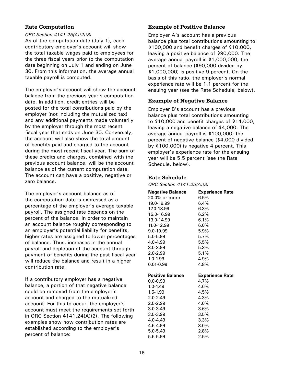# <span id="page-20-0"></span>**Rate Computation**

#### *ORC Section 4141.25(A)(2)(3)*

As of the computation date (July 1), each contributory employer's account will show the total taxable wages paid to employees for the three fiscal years prior to the computation date beginning on July 1 and ending on June 30. From this information, the average annual taxable payroll is computed.

The employer's account will show the account balance from the previous year's computation date. In addition, credit entries will be posted for the total contributions paid by the employer (not including the mutualized tax) and any additional payments made voluntarily by the employer through the most recent fiscal year that ends on June 30. Conversely, the account will also show the total amount of benefits paid and charged to the account during the most recent fiscal year. The sum of these credits and charges, combined with the previous account balance, will be the account balance as of the current computation date. The account can have a positive, negative or zero balance.

The employer's account balance as of the computation date is expressed as a percentage of the employer's average taxable payroll. The assigned rate depends on the percent of the balance. In order to maintain an account balance roughly corresponding to an employer's potential liability for benefits, higher rates are assigned to lower percentages of balance. Thus, increases in the annual payroll and depletion of the account through payment of benefits during the past fiscal year will reduce the balance and result in a higher contribution rate.

If a contributory employer has a negative balance, a portion of that negative balance could be removed from the employer's account and charged to the mutualized account. For this to occur, the employer's account must meet the requirements set forth in ORC Section 4141.24(A)(2). The following examples show how contribution rates are established according to the employer's percent of balance:

# **Example of Positive Balance**

Employer A's account has a previous balance plus total contributions amounting to \$100,000 and benefit charges of \$10,000, leaving a positive balance of \$90,000. The average annual payroll is \$1,000,000; the percent of balance (\$90,000 divided by \$1,000,000) is positive 9 percent. On the basis of this ratio, the employer's normal experience rate will be 1.1 percent for the ensuing year (see the Rate Schedule, below).

# **Example of Negative Balance**

Employer B's account has a previous balance plus total contributions amounting to \$10,000 and benefit charges of \$14,000, leaving a negative balance of \$4,000. The average annual payroll is \$100,000; the percent of negative balance (\$4,000 divided by \$100,000) is negative 4 percent. This employer's experience rate for the ensuing year will be 5.5 percent (see the Rate Schedule, below).

# **Rate Schedule**

*ORC Section 4141.25(A)(3)*

| <b>Negative Balance</b> | <b>Experience Rate</b> |
|-------------------------|------------------------|
| 20.0% or more           | 6.5%                   |
| 19.0-19.99              | $6.4\%$                |
| 17.0-18.99              | $6.3\%$                |
| 15.0-16.99              | $6.2\%$                |
| 13.0-14.99              | $6.1\%$                |
| 11.0-12.99              | $6.0\%$                |
| $9.0 - 10.99$           | 5.9%                   |
| $5.0 - 5.99$            | $5.7\%$                |
| $4.0 - 4.99$            | 5.5%                   |
| $3.0 - 3.99$            | 5.3%                   |
| $2.0 - 2.99$            | 5.1%                   |
| $1.0 - 1.99$            | 4.9%                   |
| $0.01 - 0.99$           | 4.8%                   |
|                         |                        |
|                         |                        |
| <b>Positive Balance</b> | <b>Experience Rate</b> |
| $0.0 - 0.99$            | 4.7%                   |
| $1.0 - 1.49$            | 4.6%                   |
| $1.5 - 1.99$            | 4.5%                   |
| $2.0 - 2.49$            | 4.3%                   |
| $2.5 - 2.99$            | 4.0%                   |
| $3.0 - 3.49$            | 3.6%                   |
| $3.5 - 3.99$            | 3.5%                   |
| $4.0 - 4.49$            | $3.3\%$                |
| 4.5-4.99                | $3.0\%$                |
| 5.0-5.49<br>5.5-5.99    | $2.8\%$<br>2.5%        |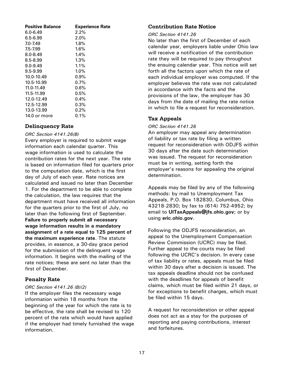<span id="page-21-0"></span>

| <b>Positive Balance</b> | <b>Experience Rate</b> |
|-------------------------|------------------------|
| 6.0-6.49                | 2.2%                   |
| $6.5 - 6.99$            | $2.0\%$                |
| 7.0-7.49                | 1.8%                   |
| $7.5 - 7.99$            | $1.6\%$                |
| $8.0 - 8.49$            | 1.4%                   |
| $8.5 - 8.99$            | 1.3%                   |
| $9.0 - 9.49$            | $1.1\%$                |
| $9.5 - 9.99$            | $1.0\%$                |
| 10.0-10.49              | $0.9\%$                |
| 10.5-10.99              | $0.7\%$                |
| 11.0-11.49              | 0.6%                   |
| 11.5-11.99              | 0.5%                   |
| 12.0-12.49              | 0.4%                   |
| 12.5-12.99              | 0.3%                   |
| 13.0-13.99              | 0.2%                   |
| 14.0 or more            | $0.1\%$                |

# **Delinquency Rate**

#### *ORC Section 4141.26(B)*

Every employer is required to submit wage information each calendar quarter. This wage information is used to calculate the contribution rates for the next year. The rate is based on information filed for quarters prior to the computation date, which is the first day of July of each year. Rate notices are calculated and issued no later than December 1. For the department to be able to complete the calculation, the law requires that the department must have received all information for the quarters prior to the first of July, no later than the following first of September. **Failure to properly submit all necessary wage information results in a mandatory assignment of a rate equal to 125 percent of the maximum experience rate**. The statute provides, in essence, a 30-day grace period for the submission of the delinquent wage information. It begins with the mailing of the rate notices; these are sent no later than the first of December.

# **Penalty Rate**

#### *ORC Section 4141.26 (B)(2)*

If the employer files the necessary wage information within 18 months from the beginning of the year for which the rate is to be effective, the rate shall be revised to 120 percent of the rate which would have applied if the employer had timely furnished the wage information.

# **Contribution Rate Notice**

#### *ORC Section 4141.26*

No later than the first of December of each calendar year, employers liable under Ohio law will receive a notification of the contribution rate they will be required to pay throughout the ensuing calendar year. This notice will set forth all the factors upon which the rate of each individual employer was computed. If the employer believes the rate was not calculated in accordance with the facts and the provisions of the law, the employer has 30 days from the date of mailing the rate notice in which to file a request for reconsideration.

# **Tax Appeals**

#### *ORC Section 4141.26*

An employer may appeal any determination of liability or tax rate by filing a written request for reconsideration with ODJFS within 30 days after the date such determination was issued. The request for reconsideration must be in writing, setting forth the employer's reasons for appealing the original determination.

Appeals may be filed by any of the following methods: by mail to Unemployment Tax Appeals, P.O. Box 182830, Columbus, Ohio 43218-2830; by fax to (614) 752-4952; by email to **[UITaxAppeals@jfs.ohio.gov](mailto:UITaxAppeals%40jfs.ohio.gov?subject=)**; or by using **eri[c.ohio.gov](https://eric.ohio.gov/)**.

Following the ODJFS reconsideration, an appeal to the Unemployment Compensation Review Commission (UCRC) may be filed. Further appeal to the courts may be filed following the UCRC's decision. In every case of tax liability or rates, appeals must be filed within 30 days after a decision is issued. The tax appeals deadline should not be confused with the deadlines for appeals of benefit claims, which must be filed within 21 days, or for exceptions to benefit charges, which must be filed within 15 days.

A request for reconsideration or other appeal does not act as a stay for the purposes of reporting and paying contributions, interest and forfeitures.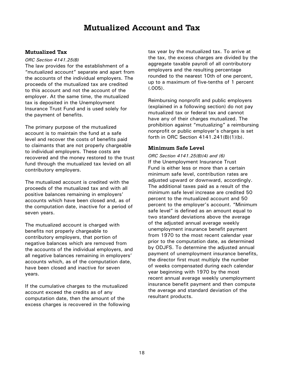# **Mutualized Account and Tax**

# <span id="page-22-0"></span>**Mutualized Tax**

*ORC Section 4141.25(B)*

The law provides for the establishment of a "mutualized account" separate and apart from the accounts of the individual employers. The proceeds of the mutualized tax are credited to this account and not the account of the employer. At the same time, the mutualized tax is deposited in the Unemployment Insurance Trust Fund and is used solely for the payment of benefits.

The primary purpose of the mutualized account is to maintain the fund at a safe level and recover the costs of benefits paid to claimants that are not properly chargeable to individual employers. These costs are recovered and the money restored to the trust fund through the mutualized tax levied on all contributory employers.

The mutualized account is credited with the proceeds of the mutualized tax and with all positive balances remaining in employers' accounts which have been closed and, as of the computation date, inactive for a period of seven years.

The mutualized account is charged with benefits not properly chargeable to contributory employers, that portion of negative balances which are removed from the accounts of the individual employers, and all negative balances remaining in employers' accounts which, as of the computation date, have been closed and inactive for seven years.

If the cumulative charges to the mutualized account exceed the credits as of any computation date, then the amount of the excess charges is recovered in the following tax year by the mutualized tax. To arrive at the tax, the excess charges are divided by the aggregate taxable payroll of all contributory employers and the resulting percentage rounded to the nearest 10th of one percent, up to a maximum of five-tenths of 1 percent (.005).

Reimbursing nonprofit and public employers (explained in a following section) do not pay mutualized tax or federal tax and cannot have any of their charges mutualized. The prohibition against "mutualizing" a reimbursing nonprofit or public employer's charges is set forth in ORC Section 4141.241(B)(1)(b).

# **Minimum Safe Level**

*ORC Section 4141.25(B)(4) and (6)* If the Unemployment Insurance Trust Fund is either less or more than a certain minimum safe level, contribution rates are adjusted upward or downward, accordingly. The additional taxes paid as a result of the minimum safe level increase are credited 50 percent to the mutualized account and 50 percent to the employer's account. "Minimum safe level" is defined as an amount equal to two standard deviations above the average of the adjusted annual average weekly unemployment insurance benefit payment from 1970 to the most recent calendar year prior to the computation date, as determined by ODJFS. To determine the adjusted annual payment of unemployment insurance benefits, the director first must multiply the number of weeks compensated during each calendar year beginning with 1970 by the most recent annual average weekly unemployment insurance benefit payment and then compute the average and standard deviation of the resultant products.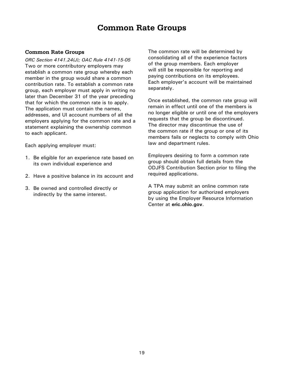# **Common Rate Groups**

#### <span id="page-23-0"></span>**Common Rate Groups**

*ORC Section 4141.24(J); OAC Rule 4141-15-05* Two or more contributory employers may establish a common rate group whereby each member in the group would share a common contribution rate. To establish a common rate group, each employer must apply in writing no later than December 31 of the year preceding that for which the common rate is to apply. The application must contain the names, addresses, and UI account numbers of all the employers applying for the common rate and a statement explaining the ownership common to each applicant.

Each applying employer must:

- 1. Be eligible for an experience rate based on its own individual experience and
- 2. Have a positive balance in its account and
- 3. Be owned and controlled directly or indirectly by the same interest.

The common rate will be determined by consolidating all of the experience factors of the group members. Each employer will still be responsible for reporting and paying contributions on its employees. Each employer's account will be maintained separately.

Once established, the common rate group will remain in effect until one of the members is no longer eligible or until one of the employers requests that the group be discontinued. The director may discontinue the use of the common rate if the group or one of its members fails or neglects to comply with Ohio law and department rules.

Employers desiring to form a common rate group should obtain full details from the ODJFS Contribution Section prior to filing the required applications.

A TPA may submit an online common rate group application for authorized employers by using the Employer Resource Information Center at **eric[.ohio.gov](https://eric.ohio.gov/)**.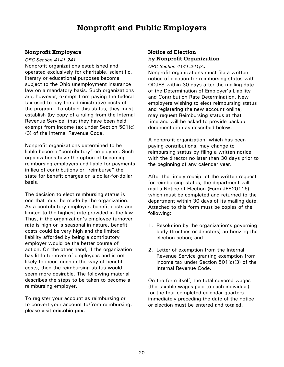# **Nonprofit and Public Employers**

# <span id="page-24-0"></span>**Nonprofit Employers**

#### *ORC Section 4141.241*

Nonprofit organizations established and operated exclusively for charitable, scientific, literary or educational purposes become subject to the Ohio unemployment insurance law on a mandatory basis. Such organizations are, however, exempt from paying the federal tax used to pay the administrative costs of the program. To obtain this status, they must establish (by copy of a ruling from the Internal Revenue Service) that they have been held exempt from income tax under Section 501(c) (3) of the Internal Revenue Code.

Nonprofit organizations determined to be liable become "contributory" employers. Such organizations have the option of becoming reimbursing employers and liable for payments in lieu of contributions or "reimburse" the state for benefit charges on a dollar-for-dollar basis.

The decision to elect reimbursing status is one that must be made by the organization. As a contributory employer, benefit costs are limited to the highest rate provided in the law. Thus, if the organization's employee turnover rate is high or is seasonal in nature, benefit costs could be very high and the limited liability afforded by being a contributory employer would be the better course of action. On the other hand, if the organization has little turnover of employees and is not likely to incur much in the way of benefit costs, then the reimbursing status would seem more desirable. The following material describes the steps to be taken to become a reimbursing employer.

To register your account as reimbursing or to convert your account to/from reimbursing, please visit **[eric.ohio.gov](https://eric.ohio.gov)**.

# **Notice of Election by Nonprofit Organization**

*ORC Section 4141.241(A)* Nonprofit organizations must file a written notice of election for reimbursing status with ODJFS within 30 days after the mailing date of the Determination of Employer's Liability and Contribution Rate Determination. New employers wishing to elect reimbursing status and registering the new account online, may request Reimbursing status at that time and will be asked to provide backup documentation as described below.

A nonprofit organization, which has been paying contributions, may change to reimbursing status by filing a written notice with the director no later than 30 days prior to the beginning of any calendar year.

After the timely receipt of the written request for reimbursing status, the department will mail a Notice of Election (Form JFS20116) which must be completed and returned to the department within 30 days of its mailing date. Attached to this form must be copies of the following:

- 1. Resolution by the organization's governing body (trustees or directors) authorizing the election action; and
- 2. Letter of exemption from the Internal Revenue Service granting exemption from income tax under Section 501(c)(3) of the Internal Revenue Code.

On the form itself, the total covered wages (the taxable wages paid to each individual) for the four completed calendar quarters immediately preceding the date of the notice or election must be entered and totaled.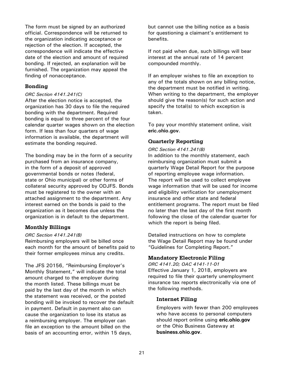<span id="page-25-0"></span>The form must be signed by an authorized official. Correspondence will be returned to the organization indicating acceptance or rejection of the election. If accepted, the correspondence will indicate the effective date of the election and amount of required bonding. If rejected, an explanation will be furnished. The organization may appeal the finding of nonacceptance.

### **Bonding**

#### *ORC Section 4141.241(C)*

After the election notice is accepted, the organization has 30 days to file the required bonding with the department. Required bonding is equal to three percent of the four calendar quarter wages shown on the election form. If less than four quarters of wage information is available, the department will estimate the bonding required.

The bonding may be in the form of a security purchased from an insurance company, in the form of a deposit of approved governmental bonds or notes (federal, state or Ohio municipal) or other forms of collateral security approved by ODJFS. Bonds must be registered to the owner with an attached assignment to the department. Any interest earned on the bonds is paid to the organization as it becomes due unless the organization is in default to the department.

#### **Monthly Billings**

#### *ORC Section 4141.241(B)*

Reimbursing employers will be billed once each month for the amount of benefits paid to their former employees minus any credits.

The JFS 20156, "Reimbursing Employer's Monthly Statement," will indicate the total amount charged to the employer during the month listed. These billings must be paid by the last day of the month in which the statement was received, or the posted bonding will be invoked to recover the default in payment. Default in payment also can cause the organization to lose its status as a reimbursing employer. The employer can file an exception to the amount billed on the basis of an accounting error, within 15 days,

but cannot use the billing notice as a basis for questioning a claimant's entitlement to benefits.

If not paid when due, such billings will bear interest at the annual rate of 14 percent compounded monthly.

If an employer wishes to file an exception to any of the totals shown on any billing notice, the department must be notified in writing. When writing to the department, the employer should give the reason(s) for such action and specify the total(s) to which exception is taken.

To pay your monthly statement online, visit **eric[.ohio.gov](https://eric.ohio.gov/)**.

# **Quarterly Reporting**

*ORC Section 4141.241(B)* In addition to the monthly statement, each reimbursing organization must submit a quarterly Wage Detail Report for the purpose of reporting employee wage information. The report will be used to collect employee wage information that will be used for income and eligibility verification for unemployment insurance and other state and federal entitlement programs. The report must be filed no later than the last day of the first month following the close of the calendar quarter for which the report is being filed.

Detailed instructions on how to complete the Wage Detail Report may be found under "Guidelines for Completing Report."

# **Mandatory Electronic Filing**

*ORC 4141.20; OAC 4141-11-01* Effective January 1, 2018, employers are required to file their quarterly unemployment insurance tax reports electronically via one of the following methods.

# **Internet Filing**

Employers with fewer than 200 employees who have access to personal computers should report online using **[eric.ohio.gov](https://eric.ohio.gov/)** or the Ohio Business Gateway at **[business.ohio.gov](http://business.ohio.gov/)**.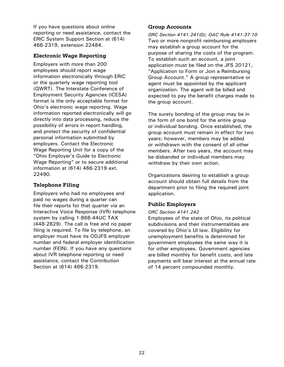<span id="page-26-0"></span>If you have questions about online reporting or need assistance, contact the ERIC System Support Section at (614) 466-2319, extension 22484.

# **Electronic Wage Reporting**

Employers with more than 200 employees should report wage information electronically through ERIC or the quarterly wage reporting tool (QWRT). The Interstate Conference of Employment Security Agencies (ICESA) format is the only acceptable format for Ohio's electronic wage reporting. Wage information reported electronically will go directly into data processing, reduce the possibility of errors in report handling, and protect the security of confidential personal information submitted by employers. Contact the Electronic Wage Reporting Unit for a copy of the "Ohio Employer's Guide to Electronic Wage Reporting" or to secure additional information at (614) 466-2319 ext. 22490.

# **Telephone Filing**

Employers who had no employees and paid no wages during a quarter can file their reports for that quarter via an Interactive Voice Response (IVR) telephone system by calling 1-866-44UC TAX (448-2829). The call is free and no paper filing is required. To file by telephone, an employer must have its ODJFS employer number and federal employer identification number (FEIN). If you have any questions about IVR telephone reporting or need assistance, contact the Contribution Section at (614) 466-2319.

# **Group Accounts**

*ORC Section 4141.241(D); OAC Rule 4141-37-10* Two or more nonprofit reimbursing employers may establish a group account for the purpose of sharing the costs of the program. To establish such an account, a joint application must be filed on the JFS 20121, "Application to Form or Join a Reimbursing Group Account." A group representative or agent must be appointed by the applicant organization. The agent will be billed and expected to pay the benefit charges made to the group account.

The surety bonding of the group may be in the form of one bond for the entire group or individual bonding. Once established, the group account must remain in effect for two years; however, members may be added or withdrawn with the consent of all other members. After two years, the account may be disbanded or individual members may withdraw by their own action.

Organizations desiring to establish a group account should obtain full details from the department prior to filing the required joint application.

# **Public Employers**

# *ORC Section 4141.242*

Employees of the state of Ohio, its political subdivisions and their instrumentalities are covered by Ohio's UI law. Eligibility for unemployment benefits is determined for government employees the same way it is for other employees. Government agencies are billed monthly for benefit costs, and late payments will bear interest at the annual rate of 14 percent compounded monthly.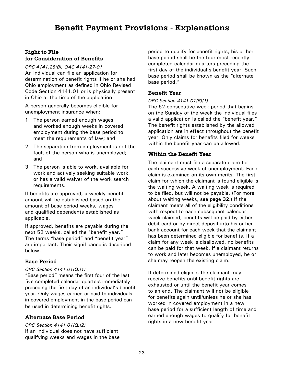# **Benefit Payment Provisions - Explanations**

# <span id="page-27-0"></span>**Right to File for Consideration of Benefits**

*ORC 4141.28(B), OAC 4141-27-01* An individual can file an application for determination of benefit rights if he or she had Ohio employment as defined in Ohio Revised Code Section 4141.01 or is physically present in Ohio at the time of the application.

A person generally becomes eligible for unemployment insurance when:

- 1. The person earned enough wages and worked enough weeks in covered employment during the base period to meet the requirements of law; and
- 2. The separation from employment is not the fault of the person who is unemployed; and
- 3. The person is able to work, available for work and actively seeking suitable work, or has a valid waiver of the work search requirements.

If benefits are approved, a weekly benefit amount will be established based on the amount of base period weeks, wages and qualified dependents established as applicable.

If approved, benefits are payable during the next 52 weeks, called the "benefit year." The terms "base period" and "benefit year" are important. Their significance is described below.

# **Base Period**

#### *ORC Section 4141.01(Q)(1)*

"Base period" means the first four of the last five completed calendar quarters immediately preceding the first day of an individual's benefit year. Only wages earned or paid to individuals in covered employment in the base period can be used in determining benefit rights.

# **Alternate Base Period**

*ORC Section 4141.01(Q)(2)* If an individual does not have sufficient qualifying weeks and wages in the base

period to qualify for benefit rights, his or her base period shall be the four most recently completed calendar quarters preceding the first day of the individual's benefit year. Such base period shall be known as the "alternate base period."

# **Benefit Year**

#### *ORC Section 4141.01(R)(1)*

The 52-consecutive-week period that begins on the Sunday of the week the individual files a valid application is called the "benefit year." The benefit rights established by the allowed application are in effect throughout the benefit year. Only claims for benefits filed for weeks within the benefit year can be allowed.

# **Within the Benefit Year**

The claimant must file a separate claim for each successive week of unemployment. Each claim is examined on its own merits. The first claim for which the claimant is found eligible is the waiting week. A waiting week is required to be filed, but will not be payable. (For more about waiting weeks, **[see page 32](#page-36-0)**.) If the claimant meets all of the eligibility conditions with respect to each subsequent calendar week claimed, benefits will be paid by either debit card or by direct deposit into his or her bank account for each week that the claimant has been determined eligible for benefits. If a claim for any week is disallowed, no benefits can be paid for that week. If a claimant returns to work and later becomes unemployed, he or she may reopen the existing claim.

If determined eligible, the claimant may receive benefits until benefit rights are exhausted or until the benefit year comes to an end. The claimant will not be eligible for benefits again until/unless he or she has worked in covered employment in a new base period for a sufficient length of time and earned enough wages to qualify for benefit rights in a new benefit year.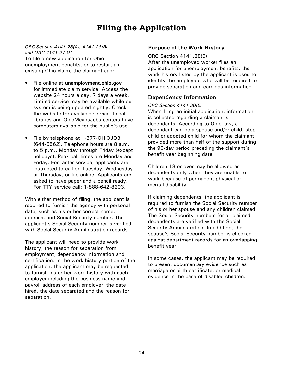# **Filing the Application**

<span id="page-28-0"></span>*ORC Section 4141.28(A), 4141.28(B) and OAC 4141-27-01* To file a new application for Ohio unemployment benefits, or to restart an existing Ohio claim, the claimant can:

- File online at **[unemployment.ohio.gov](http://www.unemployment.ohio.gov)** for immediate claim service. Access the website 24 hours a day, 7 days a week. Limited service may be available while our system is being updated nightly. Check the website for available service. Local libraries and OhioMeansJobs centers have computers available for the public's use.
- File by telephone at 1-877-OHIOJOB (644-6562). Telephone hours are 8 a.m. to 5 p.m., Monday through Friday (except holidays). Peak call times are Monday and Friday. For faster service, applicants are instructed to call on Tuesday, Wednesday or Thursday, or file online. Applicants are asked to have paper and a pencil ready. For TTY service call: 1-888-642-8203.

With either method of filing, the applicant is required to furnish the agency with personal data, such as his or her correct name, address, and Social Security number. The applicant's Social Security number is verified with Social Security Administration records.

The applicant will need to provide work history, the reason for separation from employment, dependency information and certification. In the work history portion of the application, the applicant may be requested to furnish his or her work history with each employer including the business name and payroll address of each employer, the date hired, the date separated and the reason for separation.

# **Purpose of the Work History**

ORC Section 4141.28(B)

After the unemployed worker files an application for unemployment benefits, the work history listed by the applicant is used to identify the employers who will be required to provide separation and earnings information.

# **Dependency Information**

*ORC Section 4141.30(E)*

When filing an initial application, information is collected regarding a claimant's dependents. According to Ohio law, a dependent can be a spouse and/or child, stepchild or adopted child for whom the claimant provided more than half of the support during the 90-day period preceding the claimant's benefit year beginning date.

Children 18 or over may be allowed as dependents only when they are unable to work because of permanent physical or mental disability.

If claiming dependents, the applicant is required to furnish the Social Security number of his or her spouse and any children claimed. The Social Security numbers for all claimed dependents are verified with the Social Security Administration. In addition, the spouse's Social Security number is checked against department records for an overlapping benefit year.

In some cases, the applicant may be required to present documentary evidence such as marriage or birth certificate, or medical evidence in the case of disabled children.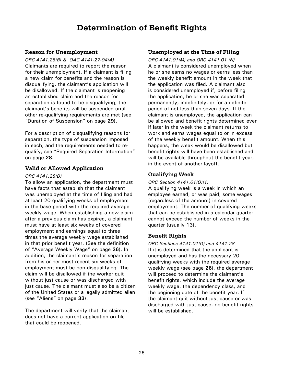# **Determination of Benefit Rights**

# <span id="page-29-0"></span>**Reason for Unemployment**

*ORC 4141.28(B) & OAC 4141-27-04(A)* Claimants are required to report the reason for their unemployment. If a claimant is filing a new claim for benefits and the reason is disqualifying, the claimant's application will be disallowed. If the claimant is reopening an established claim and the reason for separation is found to be disqualifying, the claimant's benefits will be suspended until other re-qualifying requirements are met (see ["Duration of Suspension](#page-37-0)" on page **29**).

For a description of disqualifying reasons for separation, the type of suspension imposed in each, and the requirements needed to requalify, see "[Required Separation Information](#page-36-0)" on page **28**.

#### **Valid or Allowed Application**

#### *ORC 4141.28(D)*

To allow an application, the department must have facts that establish that the claimant was unemployed at the time of filing and had at least 20 qualifying weeks of employment in the base period with the required average weekly wage. When establishing a new claim after a previous claim has expired, a claimant must have at least six weeks of covered employment and earnings equal to three times the average weekly wage established in that prior benefit year. (See the definition of ["Average Weekly Wage](#page-30-0)" on page **26**). In addition, the claimant's reason for separation from his or her most recent six weeks of employment must be non-disqualifying. The claim will be disallowed if the worker quit without just cause or was discharged with just cause. The claimant must also be a citizen of the United States or a legally admitted alien (see "[Aliens](#page-38-0)" on page **[3](#page-38-0)3**).

The department will verify that the claimant does not have a current application on file that could be reopened.

#### **Unemployed at the Time of Filing**

*ORC 4141.01(M) and ORC 4141.01 (N)* A claimant is considered unemployed when he or she earns no wages or earns less than the weekly benefit amount in the week that the application was filed. A claimant also is considered unemployed if, before filing the application, he or she was separated permanently, indefinitely, or for a definite period of not less than seven days. If the claimant is unemployed, the application can be allowed and benefit rights determined even if later in the week the claimant returns to work and earns wages equal to or in excess of the weekly benefit amount. When this happens, the week would be disallowed but benefit rights will have been established and will be available throughout the benefit year, in the event of another layoff.

# **Qualifying Week**

#### *ORC Section 4141.01(O)(1)*

A qualifying week is a week in which an employee earned, or was paid, some wages (regardless of the amount) in covered employment. The number of qualifying weeks that can be established in a calendar quarter cannot exceed the number of weeks in the quarter (usually 13).

# **Benefit Rights**

*ORC Sections 4141.01(D) and 4141.28* If it is determined that the applicant is unemployed and has the necessary 20 qualifying weeks with the required average weekly wage (see page **26**), the department will proceed to determine the claimant's benefit rights, which include the average weekly wage, the dependency class, and the beginning date of the benefit year. If the claimant quit without just cause or was discharged with just cause, no benefit rights will be established.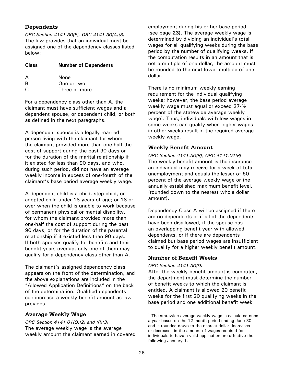# <span id="page-30-0"></span>**Dependents**

*ORC Section 4141.30(E), ORC 4141.30(A)(3)* The law provides that an individual must be assigned one of the dependency classes listed below:

| <b>Class</b> | <b>Number of Dependents</b> |
|--------------|-----------------------------|
| A            | None                        |
| B            | One or two                  |
| C            | Three or more               |

For a dependency class other than A, the claimant must have sufficient wages and a dependent spouse, or dependent child, or both as defined in the next paragraphs.

A dependent spouse is a legally married person living with the claimant for whom the claimant provided more than one-half the cost of support during the past 90 days or for the duration of the marital relationship if it existed for less than 90 days, and who, during such period, did not have an average weekly income in excess of one-fourth of the claimant's base period average weekly wage.

A dependent child is a child, step-child, or adopted child under 18 years of age; or 18 or over when the child is unable to work because of permanent physical or mental disability, for whom the claimant provided more than one-half the cost of support during the past 90 days, or for the duration of the parental relationship if it existed less than 90 days. If both spouses qualify for benefits and their benefit years overlap, only one of them may qualify for a dependency class other than A.

The claimant's assigned dependency class appears on the front of the determination, and the above explanations are included in the "Allowed Application Definitions" on the back of the determination. Qualified dependents can increase a weekly benefit amount as law provides.

# **Average Weekly Wage**

*ORC Section 4141.01(O)(2) and (R)(3)* The average weekly wage is the average weekly amount the claimant earned in covered

employment during his or her base period (see page **23**). The average weekly wage is determined by dividing an individual's total wages for all qualifying weeks during the base period by the number of qualifying weeks. If the computation results in an amount that is not a multiple of one dollar, the amount must be rounded to the next lower multiple of one dollar.

There is no minimum weekly earning requirement for the individual qualifying weeks; however, the base period average weekly wage must equal or exceed 27-½ percent of the statewide average weekly wage<sup>1</sup>. Thus, individuals with low wages in some weeks can qualify when higher wages in other weeks result in the required average weekly wage.

# **Weekly Benefit Amount**

*ORC Section 4141.30(B), ORC 4141.01(P)* The weekly benefit amount is the insurance an individual may receive for a week of total unemployment and equals the lesser of 50 percent of the average weekly wage or the annually established maximum benefit level, (rounded down to the nearest whole dollar amount).

Dependency Class A will be assigned if there are no dependents or if all of the dependents have been disallowed, if the spouse has an overlapping benefit year with allowed dependents, or if there are dependents claimed but base period wages are insufficient to qualify for a higher weekly benefit amount.

# **Number of Benefit Weeks**

# *ORC Section 4141.30(D)*

After the weekly benefit amount is computed, the department must determine the number of benefit weeks to which the claimant is entitled. A claimant is allowed 20 benefit weeks for the first 20 qualifying weeks in the base period and one additional benefit week

 $1$  The statewide average weekly wage is calculated once a year based on the 12-month period ending June 30 and is rounded down to the nearest dollar. Increases or decreases in the amount of wages required for individuals to have a valid application are effective the following January 1.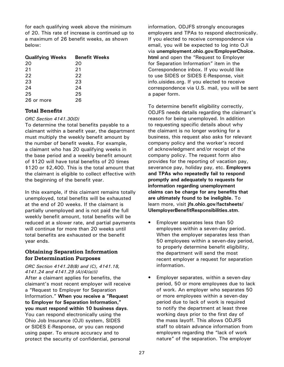<span id="page-31-0"></span>for each qualifying week above the minimum of 20. This rate of increase is continued up to a maximum of 26 benefit weeks, as shown below:

| <b>Qualifying Weeks</b> | <b>Benefit Weeks</b> |
|-------------------------|----------------------|
| 20                      | 20                   |
| 21                      | 21                   |
| 22                      | 22                   |
| 23                      | 23                   |
| 24                      | 24                   |
| 25                      | 25                   |
| 26 or more              | 26                   |

# **Total Benefits**

#### *ORC Section 4141.30(D)*

To determine the total benefits payable to a claimant within a benefit year, the department must multiply the weekly benefit amount by the number of benefit weeks. For example, a claimant who has 20 qualifying weeks in the base period and a weekly benefit amount of \$120 will have total benefits of 20 times \$120 or \$2,400. This is the total amount that the claimant is eligible to collect effective with the beginning of the benefit year.

In this example, if this claimant remains totally unemployed, total benefits will be exhausted at the end of 20 weeks. If the claimant is partially unemployed and is not paid the full weekly benefit amount, total benefits will be reduced at a slower rate, and partial payments will continue for more than 20 weeks until total benefits are exhausted or the benefit year ends.

# **Obtaining Separation Information for Determination Purposes**

*ORC Section 4141.28(B) and (C), 4141.18, 4141.24 and 4141.29 (A)(4)(a)(i)* After a claimant applies for benefits, the claimant's most recent employer will receive a "Request to Employer for Separation Information." **When you receive a "Request to Employer for Separation Information," you must respond within 10 business days**. You can respond electronically using the Ohio Job Insurance (OJI) system, SIDES or SIDES E-Response, or you can respond using paper. To ensure accuracy and to protect the security of confidential, personal

information, ODJFS strongly encourages employers and TPAs to respond electronically. If you elected to receive correspondence via email, you will be expected to log into OJI via **[unemployment.ohio.gov/EmployerChoice.](http://unemployment.ohio.gov/EmployerChoice.html) [html](http://unemployment.ohio.gov/EmployerChoice.html)** and open the "Request to Employer for Separation Information" item in the Correspondence inbox. If you would like to use SIDES or SIDES E-Response, visit info.uisides.org. If you elected to receive correspondence via U.S. mail, you will be sent a paper form.

To determine benefit eligibility correctly, ODJFS needs details regarding the claimant's reason for being unemployed. In addition to requesting specific details about why the claimant is no longer working for a business, this request also asks for relevant company policy and the worker's record of acknowledgment and/or receipt of the company policy. The request form also provides for the reporting of vacation pay, severance pay, holiday pay, etc. **Employers and TPAs who repeatedly fail to respond promptly and adequately to requests for information regarding unemployment claims can be charge for any benefits that are ultimately found to be ineligible.** To learn more, visit **[jfs.ohio.gov/factsheets/](http://jfs.ohio.gov/factsheets/UIemployerBenefitResponsibilities.stm) [UIemployerBenefitResponsibilities.stm](http://jfs.ohio.gov/factsheets/UIemployerBenefitResponsibilities.stm)**.

- Employer separates less than 50 employees within a seven-day period. When the employer separates less than 50 employees within a seven-day period, to properly determine benefit eligibility, the department will send the most recent employer a request for separation information.
- Employer separates, within a seven-day period, 50 or more employees due to lack of work. An employer who separates 50 or more employees within a seven-day period due to lack of work is required to notify the department at least three working days prior to the first day of the mass layoff. This allows ODJFS staff to obtain advance information from employers regarding the "lack of work nature" of the separation. The employer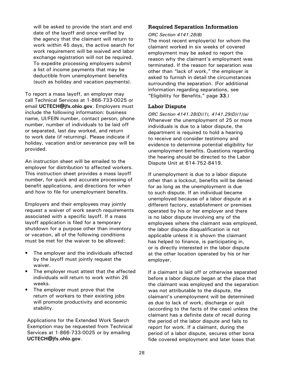<span id="page-32-0"></span>will be asked to provide the start and end date of the layoff and once verified by the agency that the claimant will return to work within 45 days, the active search for work requirement will be waived and labor exchange registration will not be required. To expedite processing employers submit a list of income payments that may be deductible from unemployment benefits (such as holiday and vacation payments).

To report a mass layoff, an employer may call Technical Services at 1-866-733-0025 or email **UCTECH@jfs.ohio.gov**. Employers must include the following information: business name, UI/FEIN number, contact person, phone number, number of individuals to be laid off or separated, last day worked, and return to work date (if returning). Please indicate if holiday, vacation and/or severance pay will be provided.

An instruction sheet will be emailed to the employer for distribution to affected workers. This instruction sheet provides a mass layoff number, for quick and accurate processing of benefit applications, and directions for when and how to file for unemployment benefits.

Employers and their employees may jointly request a waiver of work search requirements associated with a specific layoff. If a mass layoff application is filed for a temporary shutdown for a purpose other than inventory or vacation, all of the following conditions must be met for the waiver to be allowed:

- The employer and the individuals affected by the layoff must jointly request the waiver.
- The employer must attest that the affected individuals will return to work within 26 weeks.
- The employer must prove that the return of workers to their existing jobs will promote productivity and economic stability.

Applications for the Extended Work Search Exemption may be requested from Technical Services at 1-866-733-0025 or by emailing **UCTECH@jfs.ohio.gov**.

# **Required Separation Information**

#### *ORC Section 4141.28(B)*

The most recent employer(s) for whom the claimant worked in six weeks of covered employment may be asked to report the reason why the claimant's employment was terminated. If the reason for separation was other than "lack of work," the employer is asked to furnish in detail the circumstances surrounding the separation. (For additional information regarding separations, see "[Eligibility for Benefits](#page-38-0)," page **[3](#page-38-0)3**.)

#### **Labor Dispute**

*ORC Section 4141.28(D)(1), 4141.29(D)(1)(a)* Whenever the unemployment of 25 or more individuals is due to a labor dispute, the department is required to hold a hearing to receive and consider testimony and evidence to determine potential eligibility for unemployment benefits. Questions regarding the hearing should be directed to the Labor Dispute Unit at 614-752-8419.

If unemployment is due to a labor dispute other than a lockout, benefits will be denied for as long as the unemployment is due to such dispute. If an individual became unemployed because of a labor dispute at a different factory, establishment or premises operated by his or her employer and there is no labor dispute involving any of the employees where the claimant was employed, the labor dispute disqualification is not applicable unless it is shown the claimant has helped to finance, is participating in, or is directly interested in the labor dispute at the other location operated by his or her employer.

If a claimant is laid off or otherwise separated before a labor dispute began at the place that the claimant was employed and the separation was not attributable to the dispute, the claimant's unemployment will be determined as due to lack of work, discharge or quit (according to the facts of the case) unless the claimant has a definite date of recall during the period of the labor dispute and fails to report for work. If a claimant, during the period of a labor dispute, secures other bona fide covered employment and later loses that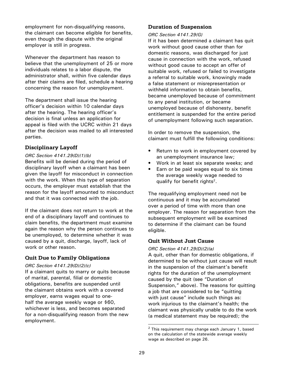<span id="page-33-0"></span>employment for non-disqualifying reasons, the claimant can become eligible for benefits, even though the dispute with the original employer is still in progress.

Whenever the department has reason to believe that the unemployment of 25 or more individuals relates to a labor dispute, the administrator shall, within five calendar days after their claims are filed, schedule a hearing concerning the reason for unemployment.

The department shall issue the hearing officer's decision within 10 calendar days after the hearing. The hearing officer's decision is final unless an application for appeal is filed with the UCRC within 21 days after the decision was mailed to all interested parties.

# **Disciplinary Layoff**

#### *ORC Section 4141.29(D)(1)(b)*

Benefits will be denied during the period of disciplinary layoff when a claimant has been given the layoff for misconduct in connection with the work. When this type of separation occurs, the employer must establish that the reason for the layoff amounted to misconduct and that it was connected with the job.

If the claimant does not return to work at the end of a disciplinary layoff and continues to claim benefits, the department must examine again the reason why the person continues to be unemployed, to determine whether it was caused by a quit, discharge, layoff, lack of work or other reason.

# **Quit Due to Family Obligations**

#### *ORC Section 4141.29(D)(2)(c)*

If a claimant quits to marry or quits because of marital, parental, filial or domestic obligations, benefits are suspended until the claimant obtains work with a covered employer, earns wages equal to onehalf the average weekly wage or \$60, whichever is less, and becomes separated for a non-disqualifying reason from the new employment.

# **Duration of Suspension**

#### *ORC Section 4141.29(G)*

If it has been determined a claimant has quit work without good cause other than for domestic reasons, was discharged for just cause in connection with the work, refused without good cause to accept an offer of suitable work, refused or failed to investigate a referral to suitable work, knowingly made a false statement or misrepresentation or withheld information to obtain benefits, became unemployed because of commitment to any penal institution, or became unemployed because of dishonesty, benefit entitlement is suspended for the entire period of unemployment following such separation.

In order to remove the suspension, the claimant must fulfill the following conditions:

- Return to work in employment covered by an unemployment insurance law;
- Work in at least six separate weeks; and
- Earn or be paid wages equal to six times the average weekly wage needed to qualify for benefit rights<sup>2</sup>.

The requalifying employment need not be continuous and it may be accumulated over a period of time with more than one employer. The reason for separation from the subsequent employment will be examined to determine if the claimant can be found eligible.

# **Quit Without Just Cause**

#### *ORC Section 4141.29(D)(2)(a)*

A quit, other than for domestic obligations, if determined to be without just cause will result in the suspension of the claimant's benefit rights for the duration of the unemployment caused by the quit (see "Duration of Suspension," above). The reasons for quitting a job that are considered to be "quitting with just cause" include such things as: work injurious to the claimant's health; the claimant was physically unable to do the work (a medical statement may be required); the

<sup>&</sup>lt;sup>2</sup> This requirement may change each January 1, based on the calculation of the statewide average weekly wage as described on page 26.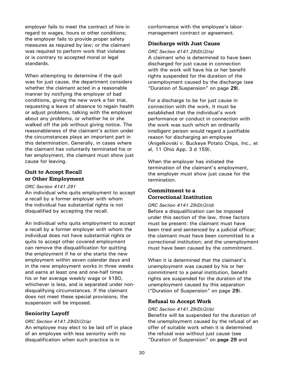<span id="page-34-0"></span>employer fails to meet the contract of hire in regard to wages, hours or other conditions; the employer fails to provide proper safety measures as required by law; or the claimant was required to perform work that violates or is contrary to accepted moral or legal standards.

When attempting to determine if the quit was for just cause, the department considers whether the claimant acted in a reasonable manner by notifying the employer of bad conditions, giving the new work a fair trial, requesting a leave of absence to regain health or adjust problems, talking with the employer about any problems, or whether he or she walked off the job without giving notice. The reasonableness of the claimant's action under the circumstances plays an important part in this determination. Generally, in cases where the claimant has voluntarily terminated his or her employment, the claimant must show just cause for leaving.

# **Quit to Accept Recall or Other Employment**

#### *ORC Section 4141.291*

An individual who quits employment to accept a recall by a former employer with whom the individual has substantial rights is not disqualified by accepting the recall.

An individual who quits employment to accept a recall by a former employer with whom the individual does not have substantial rights or quits to accept other covered employment can remove the disqualification for quitting the employment if he or she starts the new employment within seven calendar days and in the new employment works in three weeks and earns at least one and one-half times his or her average weekly wage or \$180, whichever is less, and is separated under nondisqualifying circumstances. If the claimant does not meet these special provisions, the suspension will be imposed.

# **Seniority Layoff**

#### *ORC Section 4141.29(D)(2)(a)*

An employee may elect to be laid off in place of an employee with less seniority with no disqualification when such practice is in

conformance with the employee's labormanagement contract or agreement.

#### **Discharge with Just Cause**

#### *ORC Section 4141.29(D)(2)(a)*

A claimant who is determined to have been discharged for just cause in connection with the work will have his or her benefit rights suspended for the duration of the unemployment caused by the discharge (see "[Duration of Suspension"](#page-33-0) on page **29**).

For a discharge to be for just cause in connection with the work, it must be established that the individual's work performance or conduct in connection with the work was such which an ordinarily intelligent person would regard a justifiable reason for discharging an employee (Angelkovski v. Buckeye Potato Chips, Inc., et al, 11 Ohio App. 3 d 159).

When the employer has initiated the termination of the claimant's employment, the employer must show just cause for the termination.

# **Commitment to a Correctional Institution**

#### *ORC Section 4141.29(D)(2)(d)*

Before a disqualification can be imposed under this section of the law, three factors must be present: the claimant must have been tried and sentenced by a judicial officer; the claimant must have been committed to a correctional institution; and the unemployment must have been caused by the commitment.

When it is determined that the claimant's unemployment was caused by his or her commitment to a penal institution, benefit rights are suspended for the duration of the unemployment caused by this separation ("[Duration of Suspension](#page-33-0)" on page **29**).

# **Refusal to Accept Work**

#### *ORC Section 4141.29(D)(2)(b)*

Benefits will be suspended for the duration of the unemployment caused by the refusal of an offer of suitable work when it is determined the refusal was without just cause (see "[Duration of Suspension"](#page-33-0) on **[page 29](#page-33-0)** and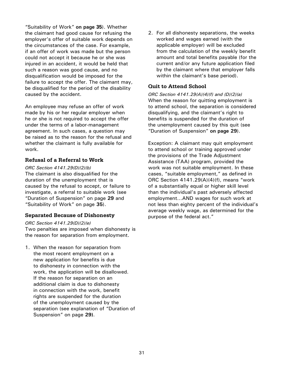<span id="page-35-0"></span>"Suitability of Work" **[on page](#page-39-0) 35**). Whether the claimant had good cause for refusing the employer's offer of suitable work depends on the circumstances of the case. For example, if an offer of work was made but the person could not accept it because he or she was injured in an accident, it would be held that such a reason was good cause, and no disqualification would be imposed for the failure to accept the offer. The claimant may, be disqualified for the period of the disability caused by the accident.

An employee may refuse an offer of work made by his or her regular employer when he or she is not required to accept the offer under the terms of a labor-management agreement. In such cases, a question may be raised as to the reason for the refusal and whether the claimant is fully available for work.

# **Refusal of a Referral to Work**

*ORC Section 4141.29(D)(2)(b)* The claimant is also disqualified for the duration of the unemployment that is caused by the refusal to accept, or failure to investigate, a referral to suitable work (see ["Duration of Suspension](#page-33-0)" on page **29** and ["Suitability of Work](#page-40-0)" on page **35**).

# **Separated Because of Dishonesty**

#### *ORC Section 4141.29(D)(2)(e)*

Two penalties are imposed when dishonesty is the reason for separation from employment.

1. When the reason for separation from the most recent employment on a new application for benefits is due to dishonesty in connection with the work, the application will be disallowed. If the reason for separation on an additional claim is due to dishonesty in connection with the work, benefit rights are suspended for the duration of the unemployment caused by the separation (see explanation of "[Duration of](#page-33-0)  [Suspension](#page-33-0)" on page **29)**.

2. For all dishonesty separations, the weeks worked and wages earned (with the applicable employer) will be excluded from the calculation of the weekly benefit amount and total benefits payable (for the current and/or any future application filed by the claimant where that employer falls within the claimant's base period).

# **Quit to Attend School**

*ORC Section 4141.29(A)(4)(f) and (D)(2)(a)* When the reason for quitting employment is to attend school, the separation is considered disqualifying, and the claimant's right to benefits is suspended for the duration of the unemployment caused by this quit (see "[Duration of Suspension"](#page-33-0) **[on page 29](#page-33-0)**).

Exception: A claimant may quit employment to attend school or training approved under the provisions of the Trade Adjustment Assistance (TAA) program, provided the work was not suitable employment. In these cases, "suitable employment," as defined in ORC Section 4141.29(A)(4)(f), means "work of a substantially equal or higher skill level than the individual's past adversely affected employment…AND wages for such work at not less than eighty percent of the individual's average weekly wage, as determined for the purpose of the federal act."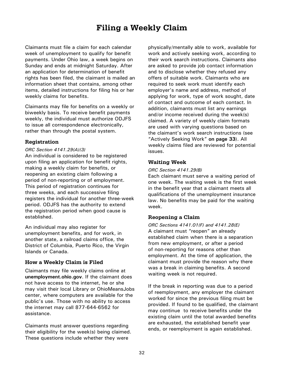# **Filing a Weekly Claim**

<span id="page-36-0"></span>Claimants must file a claim for each calendar week of unemployment to qualify for benefit payments. Under Ohio law, a week begins on Sunday and ends at midnight Saturday. After an application for determination of benefit rights has been filed, the claimant is mailed an information sheet that contains, among other items, detailed instructions for filing his or her weekly claims for benefits.

Claimants may file for benefits on a weekly or biweekly basis. To receive benefit payments weekly, the individual must authorize ODJFS to issue all correspondence electronically, rather than through the postal system.

#### **Registration**

#### *ORC Section 4141.29(A)(3)*

An individual is considered to be registered upon filing an application for benefit rights, making a weekly claim for benefits, or reopening an existing claim following a period of non-reporting or of employment. This period of registration continues for three weeks, and each successive filing registers the individual for another three-week period. ODJFS has the authority to extend the registration period when good cause is established.

An individual may also register for unemployment benefits, and for work, in another state, a railroad claims office, the District of Columbia, Puerto Rico, the Virgin Islands or Canada.

#### **How a Weekly Claim is Filed**

Claimants may file weekly claims online at **[unemployment.ohio.gov](http://unemployment.ohio.gov)**. If the claimant does not have access to the internet, he or she may visit their local Library or OhioMeansJobs center, where computers are available for the public's use. Those with no ability to access the internet may call 877-644-6562 for assistance.

Claimants must answer questions regarding their eligibility for the week(s) being claimed. These questions include whether they were

physically/mentally able to work, available for work and actively seeking work, according to their work search instructions. Claimants also are asked to provide job contact information and to disclose whether they refused any offers of suitable work. Claimants who are required to seek work must identify each employer's name and address, method of applying for work, type of work sought, date of contact and outcome of each contact. In addition, claimants must list any earnings and/or income received during the week(s) claimed. A variety of weekly claim formats are used with varying questions based on the claimant's work search instructions (see "[Actively Seeking Work"](#page-38-0) **[on page 33](#page-37-0)**). All weekly claims filed are reviewed for potential issues.

#### **Waiting Week**

#### *ORC Section 4141.29(B)*

Each claimant must serve a waiting period of one week. The waiting week is the first week in the benefit year that a claimant meets all qualifications of the unemployment insurance law. No benefits may be paid for the waiting week.

# **Reopening a Claim**

*ORC Sections 4141.01(F) and 4141.28(E)* A claimant must "reopen" an already established claim when there is a separation from new employment, or after a period of non-reporting for reasons other than employment. At the time of application, the claimant must provide the reason why there was a break in claiming benefits. A second waiting week is not required.

If the break in reporting was due to a period of reemployment, any employer the claimant worked for since the previous filing must be provided. If found to be qualified, the claimant may continue to receive benefits under the existing claim until the total awarded benefits are exhausted, the established benefit year ends, or reemployment is again established.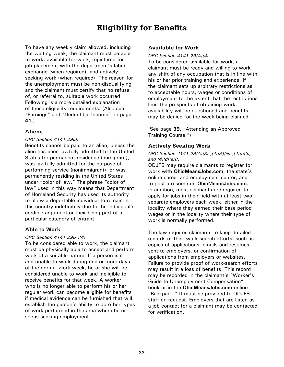# **Eligibility for Benefits**

<span id="page-37-0"></span>To have any weekly claim allowed, including the waiting week, the claimant must be able to work, available for work, registered for job placement with the department's labor exchange (when required), and actively seeking work (when required). The reason for the unemployment must be non-disqualifying and the claimant must certify that no refusal of, or referral to, suitable work occurred. Following is a more detailed explanation of these eligibility requirements. (Also see ["Earnings" and "Deductible Income"](#page-41-0) on page **[41](#page-41-0)**.)

#### **Aliens**

#### *ORC Section 4141.29(J)*

Benefits cannot be paid to an alien, unless the alien has been lawfully admitted to the United States for permanent residence (immigrant), was lawfully admitted for the purpose of performing service (nonimmigrant), or was permanently residing in the United States under "color of law." The phrase "color of law" used in this way means that Department of Homeland Security has used its authority to allow a deportable individual to remain in this country indefinitely due to the individual's credible argument or their being part of a particular category of entrant.

#### **Able to Work**

#### *ORC Section 4141.29(A)(4)*

To be considered able to work, the claimant must be physically able to accept and perform work of a suitable nature. If a person is ill and unable to work during one or more days of the normal work week, he or she will be considered unable to work and ineligible to receive benefits for that week. A worker who is no longer able to perform his or her regular work can become eligible for benefits if medical evidence can be furnished that will establish the person's ability to do other types of work performed in the area where he or she is seeking employment.

#### **Available for Work**

*ORC Section 4141.29(A)(4)* To be considered available for work, a claimant must be ready and willing to work any shift of any occupation that is in line with his or her prior training and experience. If the claimant sets up arbitrary restrictions as to acceptable hours, wages or conditions of employment to the extent that the restrictions limit the prospects of obtaining work, availability will be questioned and benefits may be denied for the week being claimed.

(See page **39**, ["Attending an Approved](#page-39-0)  [Training Course](#page-39-0).")

#### **Actively Seeking Work**

#### *ORC Section 4141.29(A)(3) ,(4)(A)(iii) ,(4)(b)(i), and (4)(d)(e)(f)*

ODJFS may require claimants to register for work with **[OhioMeansJobs.com](https://jobseeker.ohiomeansjobs.monster.com/)**, the state's online career and employment center, and to post a resume on **[OhioMeansJobs.com](https://jobseeker.ohiomeansjobs.monster.com/)**. In addition, most claimants are required to apply for jobs in their field with at least two separate employers each week, either in the locality where they earned their base period wages or in the locality where their type of work is normally performed.

The law requires claimants to keep detailed records of their work-search efforts, such as copies of applications, emails and resumes sent to employers, or confirmation of applications from employers or websites. Failure to provide proof of work-search efforts may result in a loss of benefits. This record may be recorded in the claimant's "Worker's Guide to Unemployment Compensation" book or in the **[OhioMeansJobs.com](https://jobseeker.ohiomeansjobs.monster.com/)** online "Backpack." It must be provided to ODJFS staff on request. Employers that are listed as a job contact for a claimant may be contacted for verification.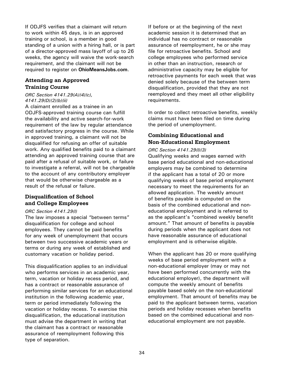<span id="page-38-0"></span>If ODJFS verifies that a claimant will return to work within 45 days, is in an approved training or school, is a member in good standing of a union with a hiring hall, or is part of a director-approved mass layoff of up to 26 weeks, the agency will waive the work-search requirement, and the claimant will not be required to register on **[OhioMeansJobs.com](https://jobseeker.ohiomeansjobs.monster.com/)**.

# **Attending an Approved Training Course**

### *ORC Section 4141.29(A)(4)(c), 4141.29(D)(2)(b)(ii)*

A claimant enrolled as a trainee in an ODJFS-approved training course can fulfill the availability and active search-for-work requirement of the law by regular attendance and satisfactory progress in the course. While in approved training, a claimant will not be disqualified for refusing an offer of suitable work. Any qualified benefits paid to a claimant attending an approved training course that are paid after a refusal of suitable work, or failure to investigate a referral, will not be chargeable to the account of any contributory employer that would be otherwise chargeable as a result of the refusal or failure.

# **Disqualification of School and College Employees**

#### *ORC Section 4141.29(l)*

The law imposes a special "between terms" disqualification for college and school employees. They cannot be paid benefits for any week of unemployment that occurs between two successive academic years or terms or during any week of established and customary vacation or holiday period.

This disqualification applies to an individual who performs services in an academic year, term, vacation or holiday recess period, and has a contract or reasonable assurance of performing similar services for an educational institution in the following academic year, term or period immediately following the vacation or holiday recess. To exercise this disqualification, the educational institution must advise the department in writing that the claimant has a contract or reasonable assurance of reemployment following this type of separation.

If before or at the beginning of the next academic session it is determined that an individual has no contract or reasonable assurance of reemployment, he or she may file for retroactive benefits. School and college employees who performed service in other than an instruction, research or administrative capacity may be eligible for retroactive payments for each week that was denied solely because of the between term disqualification, provided that they are not reemployed and they meet all other eligibility requirements.

In order to collect retroactive benefits, weekly claims must have been filed on time during the period of unemployment.

# **Combining Educational and Non-Educational Employment**

#### *ORC Section 4141.29(l)(3)*

Qualifying weeks and wages earned with base period educational and non-educational employers may be combined to determine if the applicant has a total of 20 or more qualifying weeks of base period employment necessary to meet the requirements for an allowed application. The weekly amount of benefits payable is computed on the basis of the combined educational and noneducational employment and is referred to as the applicant's "combined weekly benefit amount." That amount of benefits is payable during periods when the applicant does not have reasonable assurance of educational employment and is otherwise eligible.

When the applicant has 20 or more qualifying weeks of base period employment with a non-educational employer (may or may not have been performed concurrently with the educational employer), the department will compute the weekly amount of benefits payable based solely on the non-educational employment. That amount of benefits may be paid to the applicant between terms, vacation periods and holiday recesses when benefits based on the combined educational and noneducational employment are not payable.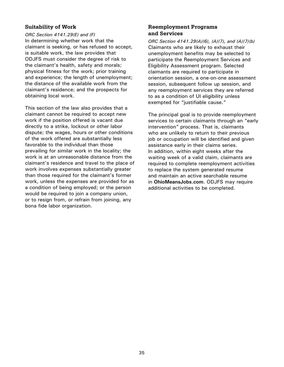# <span id="page-39-0"></span>**Suitability of Work**

*ORC Section 4141.29(E) and (F)* In determining whether work that the claimant is seeking, or has refused to accept, is suitable work, the law provides that ODJFS must consider the degree of risk to the claimant's health, safety and morals; physical fitness for the work; prior training and experience; the length of unemployment; the distance of the available work from the claimant's residence; and the prospects for obtaining local work.

This section of the law also provides that a claimant cannot be required to accept new work if the position offered is vacant due directly to a strike, lockout or other labor dispute; the wages, hours or other conditions of the work offered are substantially less favorable to the individual than those prevailing for similar work in the locality; the work is at an unreasonable distance from the claimant's residence and travel to the place of work involves expenses substantially greater than those required for the claimant's former work, unless the expenses are provided for as a condition of being employed; or the person would be required to join a company union, or to resign from, or refrain from joining, any bona fide labor organization.

# **Reemployment Programs and Services**

*ORC Section 4141.29(A)(6), (A)(7), and (A)(7)(b)* Claimants who are likely to exhaust their unemployment benefits may be selected to participate the Reemployment Services and Eligibility Assessment program. Selected claimants are required to participate in orientation session, a one-on-one assessment session, subsequent follow up session, and any reemployment services they are referred to as a condition of UI eligibility unless exempted for "justifiable cause."

The principal goal is to provide reemployment services to certain claimants through an "early intervention" process. That is, claimants who are unlikely to return to their previous job or occupation will be identified and given assistance early in their claims series. In addition, within eight weeks after the waiting week of a valid claim, claimants are required to complete reemployment activities to replace the system generated resume and maintain an active searchable resume in **[OhioMeansJobs.com](https://jobseeker.ohiomeansjobs.monster.com/)**. ODJFS may require additional activities to be completed.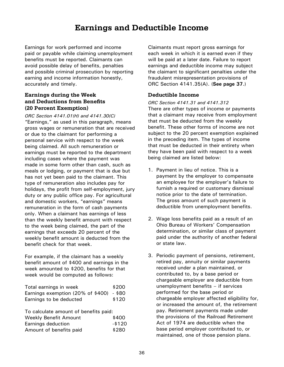# **Earnings and Deductible Income**

<span id="page-40-0"></span>Earnings for work performed and income paid or payable while claiming unemployment benefits must be reported. Claimants can avoid possible delay of benefits, penalties and possible criminal prosecution by reporting earning and income information honestly, accurately and timely.

# **Earnings during the Week and Deductions from Benefits (20 Percent Exemption)**

*ORC Section 4141.01(H) and 4141.30(C)*  "Earnings," as used in this paragraph, means gross wages or remuneration that are received or due to the claimant for performing a personal service with respect to the week being claimed. All such remuneration or earnings must be reported to the department including cases where the payment was made in some form other than cash, such as meals or lodging, or payment that is due but has not yet been paid to the claimant. This type of remuneration also includes pay for holidays, the profit from self-employment, jury duty or any public office pay. For agricultural and domestic workers, "earnings" means remuneration in the form of cash payments only. When a claimant has earnings of less than the weekly benefit amount with respect to the week being claimed, the part of the earnings that exceeds 20 percent of the weekly benefit amount is deducted from the benefit check for that week.

For example, if the claimant has a weekly benefit amount of \$400 and earnings in the week amounted to \$200, benefits for that week would be computed as follows:

| Total earnings in week                   | \$200 |
|------------------------------------------|-------|
| Earnings exemption (20% of \$400) - \$80 |       |
| Earnings to be deducted                  | \$120 |

| To calculate amount of benefits paid: |
|---------------------------------------|
| \$400                                 |
| -\$120                                |
| \$280                                 |
|                                       |

Claimants must report gross earnings for each week in which it is earned even if they will be paid at a later date. Failure to report earnings and deductible income may subject the claimant to significant penalties under the fraudulent misrepresentation provisions of ORC Section 4141.35(A). (**[See page 37](#page-41-0)**.)

# **Deductible Income**

*ORC Section 4141.31 and 4141.312* There are other types of income or payments that a claimant may receive from employment that must be deducted from the weekly benefit. These other forms of income are not subject to the 20 percent exemption explained in the preceding item. The types of income that must be deducted in their entirety when they have been paid with respect to a week being claimed are listed below:

- 1. Payment in lieu of notice. This is a payment by the employer to compensate an employee for the employer's failure to furnish a required or customary dismissal notice prior to the date of termination. The gross amount of such payment is deductible from unemployment benefits.
- 2. Wage loss benefits paid as a result of an Ohio Bureau of Workers' Compensation determination, or similar class of payment paid under the authority of another federal or state law.
- 3. Periodic payment of pensions, retirement, retired pay, annuity or similar payments received under a plan maintained, or contributed to, by a base period or chargeable employer are deductible from unemployment benefits – if services performed for the base period or chargeable employer affected eligibility for, or increased the amount of, the retirement pay. Retirement payments made under the provisions of the Railroad Retirement Act of 1974 are deductible when the base period employer contributed to, or maintained, one of those pension plans.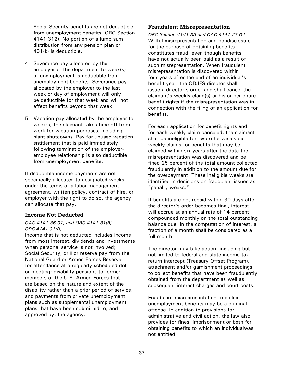<span id="page-41-0"></span>Social Security benefits are not deductible from unemployment benefits (ORC Section 4141.312). No portion of a lump sum distribution from any pension plan or 401(k) is deductible.

- 4. Severance pay allocated by the employer or the department to week(s) of unemployment is deductible from unemployment benefits. Severance pay allocated by the employer to the last week or day of employment will only be deductible for that week and will not affect benefits beyond that week
- 5. Vacation pay allocated by the employer to week(s) the claimant takes time off from work for vacation purposes, including plant shutdowns. Pay for unused vacation entitlement that is paid immediately following termination of the employeremployee relationship is also deductible from unemployment benefits.

If deductible income payments are not specifically allocated to designated weeks under the terms of a labor management agreement, written policy, contract of hire, or employer with the right to do so, the agency can allocate that pay.

# **Income Not Deducted**

#### *OAC 4141-36-01, and ORC 4141.31(B), ORC 4141.31(D)*

Income that is not deducted includes income from most interest, dividends and investments when personal service is not involved; Social Security; drill or reserve pay from the National Guard or Armed Forces Reserve for attendance at a regularly scheduled drill or meeting; disability pensions to former members of the U.S. Armed Forces that are based on the nature and extent of the disability rather than a prior period of service; and payments from private unemployment plans such as supplemental unemployment plans that have been submitted to, and approved by, the agency.

#### **Fraudulent Misrepresentation**

*ORC Section 4141.35 and OAC 4141-27-04* Willful misrepresentation and nondisclosure for the purpose of obtaining benefits constitutes fraud, even though benefits have not actually been paid as a result of such misrepresentation. When fraudulent misrepresentation is discovered within four years after the end of an individual's benefit year, the ODJFS director shall issue a director's order and shall cancel the claimant's weekly claim(s) or his or her entire benefit rights if the misrepresentation was in connection with the filing of an application for benefits.

For each application for benefit rights and for each weekly claim canceled, the claimant shall be ineligible for two otherwise valid weekly claims for benefits that may be claimed within six years after the date the misrepresentation was discovered and be fined 25 percent of the total amount collected fraudulently in addition to the amount due for the overpayment. These ineligible weeks are identified in decisions on fraudulent issues as "penalty weeks."

If benefits are not repaid within 30 days after the director's order becomes final, interest will accrue at an annual rate of 14 percent compounded monthly on the total outstanding balance due. In the computation of interest, a fraction of a month shall be considered as a full month.

The director may take action, including but not limited to federal and state income tax return intercept (Treasury Offset Program), attachment and/or garnishment proceedings, to collect benefits that have been fraudulently obtained from the department as well as subsequent interest charges and court costs.

Fraudulent misrepresentation to collect unemployment benefits may be a criminal offense. In addition to provisions for administrative and civil action, the law also provides for fines, imprisonment or both for obtaining benefits to which an individualwas not entitled.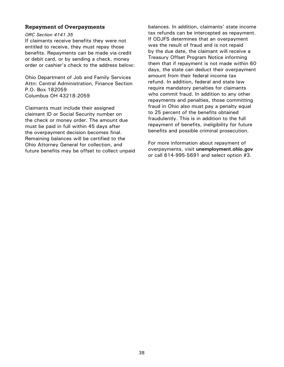#### <span id="page-42-0"></span>**Repayment of Overpayments**

#### *ORC Section 4141.35*

If claimants receive benefits they were not entitled to receive, they must repay those benefits. Repayments can be made via credit or debit card, or by sending a check, money order or cashier's check to the address below:

Ohio Department of Job and Family Services Attn: Central Administration, Finance Section P.O. Box 182059 Columbus OH 43218-2059

Claimants must include their assigned claimant ID or Social Security number on the check or money order. The amount due must be paid in full within 45 days after the overpayment decision becomes final. Remaining balances will be certified to the Ohio Attorney General for collection, and future benefits may be offset to collect unpaid balances. In addition, claimants' state income tax refunds can be intercepted as repayment. If ODJFS determines that an overpayment was the result of fraud and is not repaid by the due date, the claimant will receive a Treasury Offset Program Notice informing them that if repayment is not made within 60 days, the state can deduct their overpayment amount from their federal income tax refund. In addition, federal and state law require mandatory penalties for claimants who commit fraud. In addition to any other repayments and penalties, those committing fraud in Ohio also must pay a penalty equal to 25 percent of the benefits obtained fraudulently. This is in addition to the full repayment of benefits, ineligibility for future benefits and possible criminal prosecution.

For more information about repayment of overpayments, visit **[unemployment.ohio.gov](http://www.unemployment.ohio.gov)** or call 614-995-5691 and select option #3.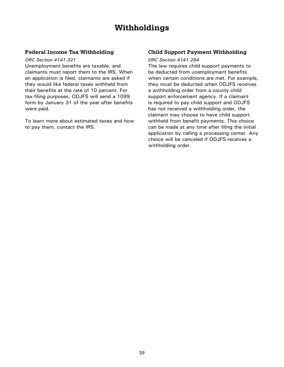# **Withholdings**

# <span id="page-43-0"></span>**Federal Income Tax Withholding**

#### *ORC Section 4141.321*

Unemployment benefits are taxable, and claimants must report them to the IRS. When an application is filed, claimants are asked if they would like federal taxes withheld from their benefits at the rate of 10 percent. For tax-filing purposes, ODJFS will send a 1099 form by January 31 of the year after benefits were paid.

To learn more about estimated taxes and how to pay them, contact the IRS.

# **Child Support Payment Withholding**

#### *ORC Section 4141.284*

The law requires child support payments to be deducted from unemployment benefits when certain conditions are met. For example, they must be deducted when ODJFS receives a withholding order from a county child support enforcement agency. If a claimant is required to pay child support and ODJFS has not received a withholding order, the claimant may choose to have child support withheld from benefit payments. This choice can be made at any time after filing the initial application by calling a processing center. Any choice will be canceled if ODJFS receives a withholding order.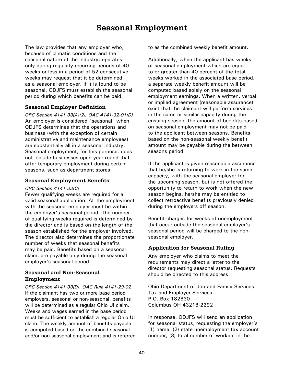# **Seasonal Employment**

<span id="page-44-0"></span>The law provides that any employer who, because of climatic conditions and the seasonal nature of the industry, operates only during regularly recurring periods of 40 weeks or less in a period of 52 consecutive weeks may request that it be determined as a seasonal employer. If it is found to be seasonal, ODJFS must establish the seasonal period during which benefits can be paid.

#### **Seasonal Employer Definition**

*ORC Section 4141.33(A)(2), OAC 4141-32-01(D)* An employer is considered "seasonal" when ODJFS determines that the operations and business (with the exception of certain administrative and maintenance employees) are substantially all in a seasonal industry. Seasonal employment, for this purpose, does not include businesses open year round that offer temporary employment during certain seasons, such as department stores.

#### **Seasonal Employment Benefits**

#### *ORC Section 4141.33(C)*

Fewer qualifying weeks are required for a valid seasonal application. All the employment with the seasonal employer must be within the employer's seasonal period. The number of qualifying weeks required is determined by the director and is based on the length of the season established for the employer involved. The director also determines the proportionate number of weeks that seasonal benefits may be paid. Benefits based on a seasonal claim, are payable only during the seasonal employer's seasonal period.

# **Seasonal and Non-Seasonal Employment**

*ORC Section 4141.33(D). OAC Rule 4141-29-02* If the claimant has two or more base period employers, seasonal or non-seasonal, benefits will be determined as a regular Ohio UI claim. Weeks and wages earned in the base period must be sufficient to establish a regular Ohio UI claim. The weekly amount of benefits payable is computed based on the combined seasonal and/or non-seasonal employment and is referred to as the combined weekly benefit amount.

Additionally, when the applicant has weeks of seasonal employment which are equal to or greater than 40 percent of the total weeks worked in the associated base period, a separate weekly benefit amount will be computed based solely on the seasonal employment earnings. When a written, verbal, or implied agreement (reasonable assurance) exist that the claimant will perform services in the same or similar capacity during the ensuing season, the amount of benefits based on seasonal employment may not be paid to the applicant between seasons. Benefits based on the non-seasonal weekly benefit amount may be payable during the between seasons period.

If the applicant is given reasonable assurance that he/she is returning to work in the same capacity, with the seasonal employer for the upcoming season, but is not offered the opportunity to return to work when the new season begins, he/she may be entitled to collect retroactive benefits previously denied during the employers off season.

Benefit charges for weeks of unemployment that occur outside the seasonal employer's seasonal period will be charged to the nonseasonal employer.

# **Application for Seasonal Ruling**

Any employer who claims to meet the requirements may direct a letter to the director requesting seasonal status. Requests should be directed to this address:

Ohio Department of Job and Family Services Tax and Employer Services P.O. Box 182830 Columbus OH 43218-2292

In response, ODJFS will send an application for seasonal status, requesting the employer's (1) name; (2) state unemployment tax account number; (3) total number of workers in the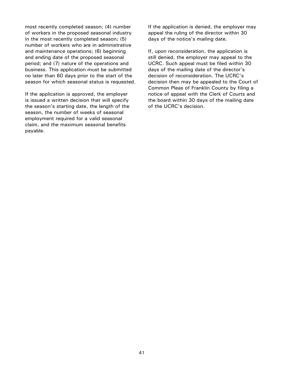<span id="page-45-0"></span>most recently completed season; (4) number of workers in the proposed seasonal industry in the most recently completed season; (5) number of workers who are in administrative and maintenance operations; (6) beginning and ending date of the proposed seasonal period; and (7) nature of the operations and business. This application must be submitted no later than 60 days prior to the start of the season for which seasonal status is requested.

If the application is approved, the employer is issued a written decision that will specify the season's starting date, the length of the season, the number of weeks of seasonal employment required for a valid seasonal claim, and the maximum seasonal benefits payable.

If the application is denied, the employer may appeal the ruling of the director within 30 days of the notice's mailing date.

If, upon reconsideration, the application is still denied, the employer may appeal to the UCRC. Such appeal must be filed within 30 days of the mailing date of the director's decision of reconsideration. The UCRC's decision then may be appealed to the Court of Common Pleas of Franklin County by filing a notice of appeal with the Clerk of Courts and the board within 30 days of the mailing date of the UCRC's decision.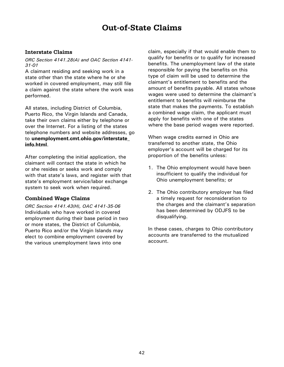# **Out-of-State Claims**

# **Interstate Claims**

#### *ORC Section 4141.28(A) and OAC Section 4141- 31-01*

A claimant residing and seeking work in a state other than the state where he or she worked in covered employment, may still file a claim against the state where the work was performed.

All states, including District of Columbia, Puerto Rico, the Virgin Islands and Canada, take their own claims either by telephone or over the Internet. For a listing of the states telephone numbers and website addresses, go to **[unemployment.cmt.ohio.gov/interstate\\_](https://unemployment.cmt.ohio.gov/interstate_info.html) [info.html](https://unemployment.cmt.ohio.gov/interstate_info.html)**.

After completing the initial application, the claimant will contact the state in which he or she resides or seeks work and comply with that state's laws, and register with that state's employment service/labor exchange system to seek work when required.

# **Combined Wage Claims**

*ORC Section 4141.43(H), OAC 4141-35-06* Individuals who have worked in covered employment during their base period in two or more states, the District of Columbia, Puerto Rico and/or the Virgin Islands may elect to combine employment covered by the various unemployment laws into one

claim, especially if that would enable them to qualify for benefits or to qualify for increased benefits. The unemployment law of the state responsible for paying the benefits on this type of claim will be used to determine the claimant's entitlement to benefits and the amount of benefits payable. All states whose wages were used to determine the claimant's entitlement to benefits will reimburse the state that makes the payments. To establish a combined wage claim, the applicant must apply for benefits with one of the states where the base period wages were reported.

When wage credits earned in Ohio are transferred to another state, the Ohio employer's account will be charged for its proportion of the benefits unless:

- 1. The Ohio employment would have been insufficient to qualify the individual for Ohio unemployment benefits; or
- 2. The Ohio contributory employer has filed a timely request for reconsideration to the charges and the claimant's separation has been determined by ODJFS to be disqualifying.

In these cases, charges to Ohio contributory accounts are transferred to the mutualized account.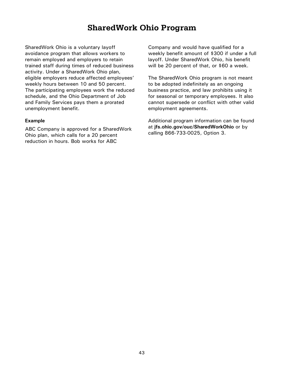# **SharedWork Ohio Program**

<span id="page-47-0"></span>SharedWork Ohio is a voluntary layoff avoidance program that allows workers to remain employed and employers to retain trained staff during times of reduced business activity. Under a SharedWork Ohio plan, eligible employers reduce affected employees' weekly hours between 10 and 50 percent. The participating employees work the reduced schedule, and the Ohio Department of Job and Family Services pays them a prorated unemployment benefit.

#### **Example**

ABC Company is approved for a SharedWork Ohio plan, which calls for a 20 percent reduction in hours. Bob works for ABC

Company and would have qualified for a weekly benefit amount of \$300 if under a full layoff. Under SharedWork Ohio, his benefit will be 20 percent of that, or \$60 a week.

The SharedWork Ohio program is not meant to be adopted indefinitely as an ongoing business practice, and law prohibits using it for seasonal or temporary employees. It also cannot supersede or conflict with other valid employment agreements.

Additional program information can be found at **[jfs.ohio.gov/ouc/SharedWorkOhio](http://jfs.ohio.gov/ouc/sharedworkohio/index.stm)** or by calling 866-733-0025, Option 3.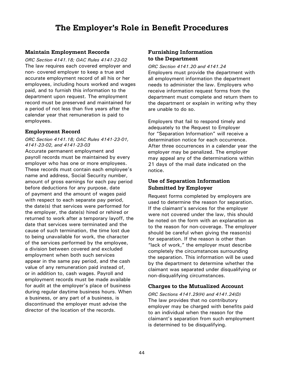# **The Employer's Role in Benefit Procedures**

# <span id="page-48-0"></span>**Maintain Employment Records**

*ORC Section 4141.18; OAC Rules 4141-23-02* The law requires each covered employer and non- covered employer to keep a true and accurate employment record of all his or her employees, including hours worked and wages paid, and to furnish this information to the department upon request. The employment record must be preserved and maintained for a period of not less than five years after the calendar year that remuneration is paid to employees.

# **Employment Record**

*ORC Section 4141.18; OAC Rules 4141-23-01, 4141-23-02, and 4141-23-03*

Accurate permanent employment and payroll records must be maintained by every employer who has one or more employees. These records must contain each employee's name and address, Social Security number, amount of gross earnings for each pay period before deductions for any purpose, date of payment and the amount of wages paid with respect to each separate pay period, the date(s) that services were performed for the employer, the date(s) hired or rehired or returned to work after a temporary layoff, the date that services were terminated and the cause of such termination, the time lost due to being unavailable for work, the character of the services performed by the employee, a division between covered and excluded employment when both such services appear in the same pay period, and the cash value of any remuneration paid instead of, or in addition to, cash wages. Payroll and employment records must be made available for audit at the employer's place of business during regular daytime business hours. When a business, or any part of a business, is discontinued the employer must advise the director of the location of the records.

# **Furnishing Information to the Department**

*ORC Section 4141.20 and 4141.24* Employers must provide the department with all employment information the department needs to administer the law. Employers who receive information request forms from the department must complete and return them to the department or explain in writing why they are unable to do so.

Employers that fail to respond timely and adequately to the Request to Employer for "Separation Information" will receive a determination notice for each occurrence. After three occurrences in a calendar year the employer may be penalized. The employer may appeal any of the determinations within 21 days of the mail date indicated on the notice.

# **Use of Separation Information Submitted by Employer**

Request forms completed by employers are used to determine the reason for separation. If the claimant's services for the employer were not covered under the law, this should be noted on the form with an explanation as to the reason for non-coverage. The employer should be careful when giving the reason(s) for separation. If the reason is other than "lack of work," the employer must describe completely the circumstances surrounding the separation. This information will be used by the department to determine whether the claimant was separated under disqualifying or non-disqualifying circumstances.

# **Charges to the Mutualized Account**

*ORC Sections 4141.29(H) and 4141.24(D)* The law provides that no contributory employer may be charged with benefits paid to an individual when the reason for the claimant's separation from such employment is determined to be disqualifying.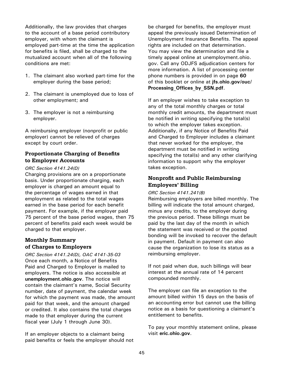<span id="page-49-0"></span>Additionally, the law provides that charges to the account of a base period contributory employer, with whom the claimant is employed part-time at the time the application for benefits is filed, shall be charged to the mutualized account when all of the following conditions are met:

- 1. The claimant also worked part-time for the employer during the base period;
- 2. The claimant is unemployed due to loss of other employment; and
- 3. The employer is not a reimbursing employer.

A reimbursing employer (nonprofit or public employer) cannot be relieved of charges except by court order.

# **Proportionate Charging of Benefits to Employer Accounts**

#### *ORC Section 4141.24(D)*

Charging provisions are on a proportionate basis. Under proportionate charging, each employer is charged an amount equal to the percentage of wages earned in that employment as related to the total wages earned in the base period for each benefit payment. For example, if the employer paid 75 percent of the base period wages, then 75 percent of benefits paid each week would be charged to that employer.

# **Monthly Summary of Charges to Employers**

*ORC Section 4141.24(D), OAC 4141-35-03* Once each month, a Notice of Benefits Paid and Charged to Employer is mailed to employers. The notice is also accessible at **[unemployment.ohio.gov](http://www.unemployment.ohio.gov)**. The notice will contain the claimant's name, Social Security number, date of payment, the calendar week for which the payment was made, the amount paid for that week, and the amount charged or credited. It also contains the total charges made to that employer during the current fiscal year (July 1 through June 30).

If an employer objects to a claimant being paid benefits or feels the employer should not

be charged for benefits, the employer must appeal the previously issued Determination of Unemployment Insurance Benefits. The appeal rights are included on that determination. You may view the determination and file a timely appeal online at unemployment.ohio. gov. Call any ODJFS adjudication centers for more information. A list of processing center phone numbers is provided in on page **[6](#page-59-0)0** of this booklet or online at **[jfs.ohio.gov/ouc/](http://www.jfs.ohio.gov/ouc/Processing_Offices_by_SSN.pdf) [Processing\\_Offices\\_by\\_SSN.pdf](http://www.jfs.ohio.gov/ouc/Processing_Offices_by_SSN.pdf)**.

If an employer wishes to take exception to any of the total monthly charges or total monthly credit amounts, the department must be notified in writing specifying the total(s) to which the employer takes exception. Additionally, if any Notice of Benefits Paid and Charged to Employer includes a claimant that never worked for the employer, the department must be notified in writing specifying the total(s) and any other clarifying information to support why the employer takes exception.

# **Nonprofit and Public Reimbursing Employers' Billing**

#### *ORC Section 4141.241(B)*

Reimbursing employers are billed monthly. The billing will indicate the total amount charged, minus any credits, to the employer during the previous period. These billings must be paid by the last day of the month in which the statement was received or the posted bonding will be invoked to recover the default in payment. Default in payment can also cause the organization to lose its status as a reimbursing employer.

If not paid when due, such billings will bear interest at the annual rate of 14 percent compounded monthly.

The employer can file an exception to the amount billed within 15 days on the basis of an accounting error but cannot use the billing notice as a basis for questioning a claimant's entitlement to benefits.

To pay your monthly statement online, please visit **eri[c.ohio.gov](https://eric.ohio.gov/)**.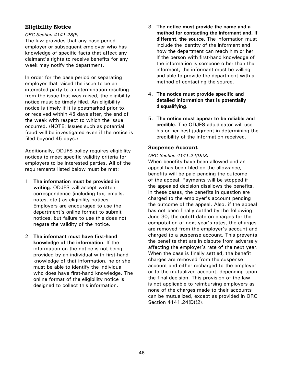# <span id="page-50-0"></span>**Eligibility Notice**

#### *ORC Section 4141.28(F)*

The law provides that any base period employer or subsequent employer who has knowledge of specific facts that affect any claimant's rights to receive benefits for any week may notify the department.

In order for the base period or separating employer that raised the issue to be an interested party to a determination resulting from the issue that was raised, the eligibility notice must be timely filed. An eligibility notice is timely if it is postmarked prior to, or received within 45 days after, the end of the week with respect to which the issue occurred. (NOTE: Issues such as potential fraud will be investigated even if the notice is filed beyond 45 days.)

Additionally, ODJFS policy requires eligibility notices to meet specific validity criteria for employers to be interested parties. **All** of the requirements listed below must be met:

- 1. **The information must be provided in writing**. ODJFS will accept written correspondence (including fax, emails, notes, etc.) as eligibility notices. Employers are encouraged to use the department's online format to submit notices, but failure to use this does not negate the validity of the notice.
- 2. **The informant must have first-hand knowledge of the information**. If the information on the notice is not being provided by an individual with first-hand knowledge of that information, he or she must be able to identify the individual who does have first-hand knowledge. The online format of the eligibility notice is designed to collect this information.
- 3. **The notice must provide the name and a method for contacting the informant and, if different, the source**. The information must include the identity of the informant and how the department can reach him or her. If the person with first-hand knowledge of the information is someone other than the informant, the informant must be willing and able to provide the department with a method of contacting the source.
- 4. **The notice must provide specific and detailed information that is potentially disqualifying**.
- 5. **The notice must appear to be reliable and credible**. The ODJFS adjudicator will use his or her best judgment in determining the credibility of the information received.

# **Suspense Account**

#### *ORC Section 4141.24(D)(3)*

When benefits have been allowed and an appeal has been filed on the allowance, benefits will be paid pending the outcome of the appeal. Payments will be stopped if the appealed decision disallows the benefits. In these cases, the benefits in question are charged to the employer's account pending the outcome of the appeal. Also, if the appeal has not been finally settled by the following June 30, the cutoff date on charges for the computation of next year's rates, the charges are removed from the employer's account and charged to a suspense account. This prevents the benefits that are in dispute from adversely affecting the employer's rate of the next year. When the case is finally settled, the benefit charges are removed from the suspense account and either recharged to the employer or to the mutualized account, depending upon the final decision. This provision of the law is not applicable to reimbursing employers as none of the charges made to their accounts can be mutualized, except as provided in ORC Section 4141.24(D)(2).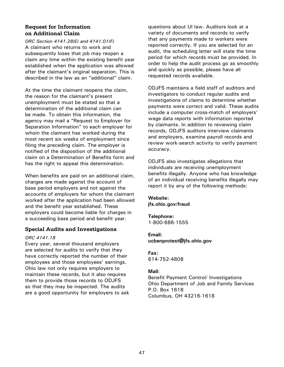# <span id="page-51-0"></span>**Request for Information on Additional Claim**

*ORC Section 4141.28(E) and 4141.01(F)* A claimant who returns to work and subsequently loses that job may reopen a claim any time within the existing benefit year established when the application was allowed after the claimant's original separation. This is described in the law as an "additional" claim.

At the time the claimant reopens the claim, the reason for the claimant's present unemployment must be stated so that a determination of the additional claim can be made. To obtain this information, the agency may mail a "Request to Employer for Separation Information" to each employer for whom the claimant has worked during the most recent six weeks of employment since filing the preceding claim. The employer is notified of the disposition of the additional claim on a Determination of Benefits form and has the right to appeal this determination.

When benefits are paid on an additional claim, charges are made against the account of base period employers and not against the accounts of employers for whom the claimant worked after the application had been allowed and the benefit year established. These employers could become liable for charges in a succeeding base period and benefit year.

# **Special Audits and Investigations**

#### *ORC 4141.18*

Every year, several thousand employers are selected for audits to verify that they have correctly reported the number of their employees and those employees' earnings. Ohio law not only requires employers to maintain these records, but it also requires them to provide those records to ODJFS so that they may be inspected. The audits are a good opportunity for employers to ask

questions about UI law. Auditors look at a variety of documents and records to verify that any payments made to workers were reported correctly. If you are selected for an audit, the scheduling letter will state the time period for which records must be provided. In order to help the audit process go as smoothly and quickly as possible, please have all requested records available.

ODJFS maintains a field staff of auditors and investigators to conduct regular audits and investigations of claims to determine whether payments were correct and valid. These audits include a computer cross-match of employers' wage data reports with information reported by claimants. In addition to reviewing claim records, ODJFS auditors interview claimants and employers, examine payroll records and review work-search activity to verify payment accuracy.

ODJFS also investigates allegations that individuals are receiving unemployment benefits illegally. Anyone who has knowledge of an individual receiving benefits illegally may report it by any of the following methods:

#### **Website:**

**[jfs.ohio.gov/fraud](http://www.jfs.ohio.gov/fraud)** 

#### **Telephone:** 1-800-686-1555

#### **Email:**

**[ucbenprotest@jfs.ohio.gov](mailto:ucbenprotest%40jfs.ohio.gov?subject=)**

#### **Fax:**  614-752-4808

#### **Mail:**

Benefit Payment Control/ Investigations Ohio Department of Job and Family Services P.O. Box 1618 Columbus, OH 43216-1618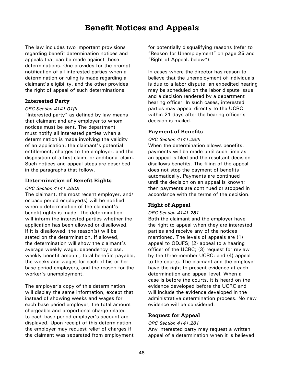# **Benefit Notices and Appeals**

<span id="page-52-0"></span>The law includes two important provisions regarding benefit determination notices and appeals that can be made against those determinations. One provides for the prompt notification of all interested parties when a determination or ruling is made regarding a claimant's eligibility, and the other provides the right of appeal of such determinations.

# **Interested Party**

#### *ORC Section 4141.01(I)*

"Interested party" as defined by law means that claimant and any employer to whom notices must be sent. The department must notify all interested parties when a determination is made involving the validity of an application, the claimant's potential entitlement, charges to the employer, and the disposition of a first claim, or additional claim. Such notices and appeal steps are described in the paragraphs that follow.

#### **Determination of Benefit Rights**

#### *ORC Section 4141.28(D)*

The claimant, the most recent employer, and/ or base period employer(s) will be notified when a determination of the claimant's benefit rights is made. The determination will inform the interested parties whether the application has been allowed or disallowed. If it is disallowed, the reason(s) will be stated on the determination. If allowed, the determination will show the claimant's average weekly wage, dependency class, weekly benefit amount, total benefits payable, the weeks and wages for each of his or her base period employers, and the reason for the worker's unemployment.

The employer's copy of this determination will display the same information, except that instead of showing weeks and wages for each base period employer, the total amount chargeable and proportional charge related to each base period employer's account are displayed. Upon receipt of this determination, the employer may request relief of charges if the claimant was separated from employment for potentially disqualifying reasons (refer to "[Reason for Unemployment](#page-29-0)" on page **25** and "Right of Appeal, below").

In cases where the director has reason to believe that the unemployment of individuals is due to a labor dispute, an expedited hearing may be scheduled on the labor dispute issue and a decision rendered by a department hearing officer. In such cases, interested parties may appeal directly to the UCRC within 21 days after the hearing officer's decision is mailed.

# **Payment of Benefits**

#### *ORC Section 4141.28(I)*

When the determination allows benefits, payments will be made until such time as an appeal is filed and the resultant decision disallows benefits. The filing of the appeal does not stop the payment of benefits automatically. Payments are continued until the decision on an appeal is known; then payments are continued or stopped in accordance with the terms of the decision.

# **Right of Appeal**

#### *ORC Section 4141.281*

Both the claimant and the employer have the right to appeal when they are interested parties and receive any of the notices mentioned. The levels of appeals are (1) appeal to ODJFS; (2) appeal to a hearing officer of the UCRC; (3) request for review by the three-member UCRC; and (4) appeal to the courts. The claimant and the employer have the right to present evidence at each determination and appeal level. When a case is before the courts, it is heard on the evidence developed before the UCRC and will include the evidence developed in the administrative determination process. No new evidence will be considered.

# **Request for Appeal**

#### *ORC Section 4141.281*

Any interested party may request a written appeal of a determination when it is believed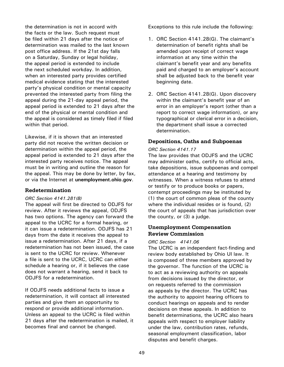<span id="page-53-0"></span>the determination is not in accord with the facts or the law. Such request must be filed within 21 days after the notice of determination was mailed to the last known post office address. If the 21st day falls on a Saturday, Sunday or legal holiday, the appeal period is extended to include the next scheduled workday. In addition, when an interested party provides certified medical evidence stating that the interested party's physical condition or mental capacity prevented the interested party from filing the appeal during the 21-day appeal period, the appeal period is extended to 21 days after the end of the physical or mental condition and the appeal is considered as timely filed if filed within that period.

Likewise, if it is shown that an interested party did not receive the written decision or determination within the appeal period, the appeal period is extended to 21 days after the interested party receives notice. The appeal must be in writing and outline the reason for the appeal. This may be done by letter, by fax, or via the Internet at **[unemployment.ohio.gov](http://www.unemployment.ohio.gov)**.

#### **Redetermination**

#### *ORC Section 4141.281(B)*

The appeal will first be directed to ODJFS for review. After it reviews the appeal, ODJFS has two options. The agency can forward the appeal to the UCRC for a formal hearing, or it can issue a redetermination. ODJFS has 21 days from the date it receives the appeal to issue a redetermination. After 21 days, if a redetermination has not been issued, the case is sent to the UCRC for review. Whenever a file is sent to the UCRC, UCRC can either schedule a hearing or, if it believes the case does not warrant a hearing, send it back to ODJFS for a redetermination.

If ODJFS needs additional facts to issue a redetermination, it will contact all interested parties and give them an opportunity to respond or provide additional information. Unless an appeal to the UCRC is filed within 21 days after the redetermination is mailed, it becomes final and cannot be changed.

Exceptions to this rule include the following:

- 1. ORC Section 4141.28(G). The claimant's determination of benefit rights shall be amended upon receipt of correct wage information at any time within the claimant's benefit year and any benefits paid and charged to an employer's account shall be adjusted back to the benefit year beginning date.
- 2. ORC Section 4141.28(G). Upon discovery within the claimant's benefit year of an error in an employer's report (other than a report to correct wage information), or any typographical or clerical error in a decision, the department shall issue a corrected determination.

# **Depositions, Oaths and Subpoenas**

#### *ORC Section 4141.17*

The law provides that ODJFS and the UCRC may administer oaths, certify to official acts, take depositions, issue subpoenas and compel attendance at a hearing and testimony by witnesses. When a witness refuses to attend or testify or to produce books or papers, contempt proceedings may be instituted by (1) the court of common pleas of the county where the individual resides or is found, (2) the court of appeals that has jurisdiction over the county, or (3) a judge.

# **Unemployment Compensation Review Commission**

#### *ORC Section 4141.06*

The UCRC is an independent fact-finding and review body established by Ohio UI law. It is composed of three members approved by the governor. The function of the UCRC is to act as a reviewing authority on appeals from decisions issued by the director, or on requests referred to the commission as appeals by the director. The UCRC has the authority to appoint hearing officers to conduct hearings on appeals and to render decisions on these appeals. In addition to benefit determinations, the UCRC also hears appeals with respect to employer liability under the law, contribution rates, refunds, seasonal employment classification, labor disputes and benefit charges.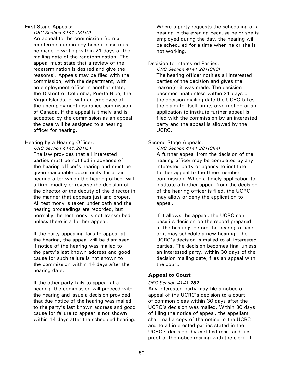#### First Stage Appeals:

*ORC Section 4141.281(C)* 

An appeal to the commission from a redetermination in any benefit case must be made in writing within 21 days of the mailing date of the redetermination. The appeal must state that a review of the redetermination is desired and give the reason(s). Appeals may be filed with the commission; with the department, with an employment office in another state, the District of Columbia, Puerto Rico, the Virgin Islands; or with an employee of the unemployment insurance commission of Canada. If the appeal is timely and is accepted by the commission as an appeal, the case will be assigned to a hearing officer for hearing.

# Hearing by a Hearing Officer:

*ORC Section 4141.281(D)*

The law provides that all interested parties must be notified in advance of the hearing officer's hearing and must be given reasonable opportunity for a fair hearing after which the hearing officer will affirm, modify or reverse the decision of the director or the deputy of the director in the manner that appears just and proper. All testimony is taken under oath and the hearing proceedings are recorded, but normally the testimony is not transcribed unless there is a further appeal.

If the party appealing fails to appear at the hearing, the appeal will be dismissed if notice of the hearing was mailed to the party's last known address and good cause for such failure is not shown to the commission within 14 days after the hearing date.

If the other party fails to appear at a hearing, the commission will proceed with the hearing and issue a decision provided that due notice of the hearing was mailed to the party's last known address and good cause for failure to appear is not shown within 14 days after the scheduled hearing. Where a party requests the scheduling of a hearing in the evening because he or she is employed during the day, the hearing will be scheduled for a time when he or she is not working.

Decision to Interested Parties:

*ORC Section 4141.281(C)(3)*  The hearing officer notifies all interested parties of the decision and gives the reason(s) it was made. The decision becomes final unless within 21 days of the decision mailing date the UCRC takes the claim to itself on its own motion or an application to institute further appeal is filed with the commission by an interested party and the appeal is allowed by the UCRC.

# Second Stage Appeals:

*ORC Section 4141.281(C)(4)*  A further appeal from the decision of the hearing officer may be completed by any interested party or agency to institute further appeal to the three member commission. When a timely application to institute a further appeal from the decision of the hearing officer is filed, the UCRC may allow or deny the application to appeal.

If it allows the appeal, the UCRC can base its decision on the record prepared at the hearings before the hearing officer or it may schedule a new hearing. The UCRC's decision is mailed to all interested parties. The decision becomes final unless an interested party, within 30 days of the decision mailing date, files an appeal with the court.

# **Appeal to Court**

# *ORC Section 4141.282*

Any interested party may file a notice of appeal of the UCRC's decision to a court of common pleas within 30 days after the UCRC's decision was mailed. Within 30 days of filing the notice of appeal, the appellant shall mail a copy of the notice to the UCRC and to all interested parties stated in the UCRC's decision, by certified mail, and file proof of the notice mailing with the clerk. If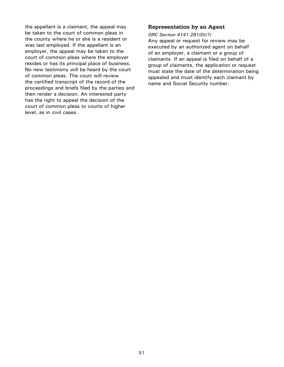the appellant is a claimant, the appeal may be taken to the court of common pleas in the county where he or she is a resident or was last employed. If the appellant is an employer, the appeal may be taken to the court of common pleas where the employer resides or has its principal place of business. No new testimony will be heard by the court of common pleas. The court will review the certified transcript of the record of the proceedings and briefs filed by the parties and then render a decision. An interested party has the right to appeal the decision of the court of common pleas to courts of higher level, as in civil cases.

# **Representation by an Agent**

#### *ORC Section 4141.281(D)(7)*

Any appeal or request for review may be executed by an authorized agent on behalf of an employer, a claimant or a group of claimants. If an appeal is filed on behalf of a group of claimants, the application or request must state the date of the determination being appealed and must identify each claimant by name and Social Security number.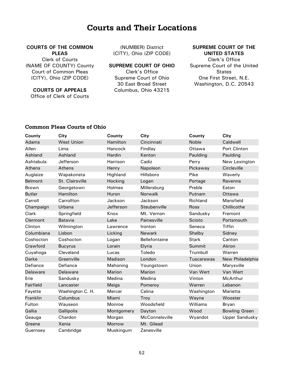# **Courts and Their Locations**

#### <span id="page-56-0"></span>**COURTS OF THE COMMON PLEAS**

Clerk of Courts (NAME OF COUNTY) County Court of Common Pleas (CITY), Ohio (ZIP CODE)

**COURTS OF APPEALS**

Office of Clerk of Courts

(NUMBER) District (CITY), Ohio (ZIP CODE)

**SUPREME COURT OF OHIO**

Clerk's Office Supreme Court of Ohio 30 East Broad Street Columbus, Ohio 43215

**SUPREME COURT OF THE UNITED STATES**

Clerk's Office Supreme Court of the United **States** One First Street, N.E. Washington, D.C. 20543

#### **Common Pleas Courts of Ohio**

| County         | City              | County        | City                 | County       | City                  |
|----------------|-------------------|---------------|----------------------|--------------|-----------------------|
| Adams          | <b>West Union</b> | Hamilton      | Cincinnati           | Noble        | Caldwell              |
| Allen          | Lima              | Hancock       | Findlay              | Ottawa       | Port Clinton          |
| Ashland        | Ashland           | Hardin        | Kenton               | Paulding     | Paulding              |
| Ashtabula      | Jefferson         | Harrison      | Cadiz                | Perry        | New Lexington         |
| <b>Athens</b>  | Athens            | Henry         | Napoleon             | Pickaway     | Circleville           |
| Auglaize       | Wapakoneta        | Highland      | Hillsboro            | Pike         | Waverly               |
| <b>Belmont</b> | St. Clairsville   | Hocking       | Logan                | Portage      | Ravenna               |
| <b>Brown</b>   | Georgetown        | Holmes        | Millersburg          | Preble       | Eaton                 |
| <b>Butler</b>  | Hamilton          | Huron         | Norwalk              | Putnam       | Ottawa                |
| Carroll        | Carrollton        | Jackson       | Jackson              | Richland     | Mansfield             |
| Champaign      | Urbana            | Jefferson     | Steubenville         | <b>Ross</b>  | Chillicothe           |
| Clark          | Springfield       | Knox          | Mt. Vernon           | Sandusky     | Fremont               |
| Clermont       | Batavia           | Lake          | Painesville          | Scioto       | Portsmouth            |
| Clinton        | Wilmington        | Lawrence      | Ironton              | Seneca       | <b>Tiffin</b>         |
| Columbiana     | Lisbon            | Licking       | Newark               | Shelby       | Sidney                |
| Coshocton      | Coshocton         | Logan         | <b>Bellefontaine</b> | <b>Stark</b> | Canton                |
| Crawford       | <b>Bucyrus</b>    | Lorain        | Elyria               | Summit       | Akron                 |
| Cuyahoga       | Cleveland         | Lucas         | Toledo               | Trumbull     | Warren                |
| Darke          | Greenville        | Madison       | London               | Tuscarawas   | New Philadelphia      |
| Defiance       | Defiance          | Mahoning      | Youngstown           | Union        | Marysville            |
| Delaware       | Delaware          | <b>Marion</b> | Marion               | Van Wert     | Van Wert              |
| Erie           | Sandusky          | Medina        | Medina               | Vinton       | McArthur              |
| Fairfield      | Lancaster         | Meigs         | Pomeroy              | Warren       | Lebanon               |
| Fayette        | Washington C. H.  | Mercer        | Celina               | Washington   | Marietta              |
| Franklin       | Columbus          | Miami         | Troy                 | Wayne        | Wooster               |
| Fulton         | Wauseon           | Monroe        | Woodsfield           | Williams     | Bryan                 |
| Gallia         | Gallipolis        | Montgomery    | Dayton               | Wood         | <b>Bowling Green</b>  |
| Geauga         | Chardon           | Morgan        | McConnelsville       | Wyandot      | <b>Upper Sandusky</b> |
| Greene         | Xenia             | Morrow        | Mt. Gilead           |              |                       |
| Guernsey       | Cambridge         | Muskingum     | Zanesville           |              |                       |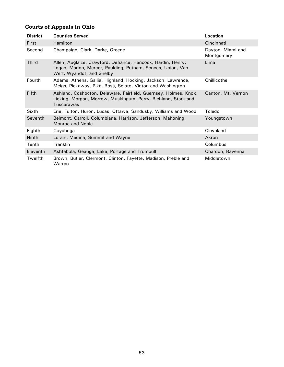# **Courts of Appeals in Ohio**

| <b>District</b> | <b>Counties Served</b>                                                                                                                                   | Location                        |
|-----------------|----------------------------------------------------------------------------------------------------------------------------------------------------------|---------------------------------|
| First           | Hamilton                                                                                                                                                 | Cincinnati                      |
| Second          | Champaign, Clark, Darke, Greene                                                                                                                          | Dayton, Miami and<br>Montgomery |
| <b>Third</b>    | Allen, Auglaize, Crawford, Defiance, Hancock, Hardin, Henry,<br>Logan, Marion, Mercer, Paulding, Putnam, Seneca, Union, Van<br>Wert, Wyandot, and Shelby | Lima                            |
| Fourth          | Adams, Athens, Gallia, Highland, Hocking, Jackson, Lawrence,<br>Meigs, Pickaway, Pike, Ross, Scioto, Vinton and Washington                               | Chillicothe                     |
| <b>Fifth</b>    | Ashland, Coshocton, Delaware, Fairfield, Guernsey, Holmes, Knox,<br>Licking, Morgan, Morrow, Muskingum, Perry, Richland, Stark and<br>Tuscarawas         | Canton, Mt. Vernon              |
| Sixth           | Erie, Fulton, Huron, Lucas, Ottawa, Sandusky, Williams and Wood                                                                                          | Toledo                          |
| Seventh         | Belmont, Carroll, Columbiana, Harrison, Jefferson, Mahoning,<br>Monroe and Noble                                                                         | Youngstown                      |
| Eighth          | Cuyahoga                                                                                                                                                 | Cleveland                       |
| <b>Ninth</b>    | Lorain, Medina, Summit and Wayne                                                                                                                         | Akron                           |
| Tenth           | <b>Franklin</b>                                                                                                                                          | Columbus                        |
| <b>Eleventh</b> | Ashtabula, Geauga, Lake, Portage and Trumbull                                                                                                            | Chardon, Ravenna                |
| Twelfth         | Brown, Butler, Clermont, Clinton, Fayette, Madison, Preble and<br>Warren                                                                                 | Middletown                      |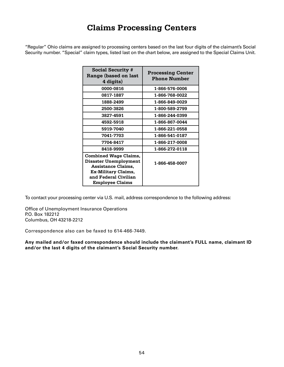# **Claims Processing Centers**

<span id="page-58-0"></span>"Regular" Ohio claims are assigned to processing centers based on the last four digits of the claimant's Social Security number. "Special" claim types, listed last on the chart below, are assigned to the Special Claims Unit.

| <b>Social Security #</b><br>Range (based on last<br>4 digits)                                                                                               | <b>Processing Center</b><br><b>Phone Number</b> |
|-------------------------------------------------------------------------------------------------------------------------------------------------------------|-------------------------------------------------|
| 0000-0816                                                                                                                                                   | 1-866-576-0006                                  |
| 0817-1887                                                                                                                                                   | 1-866-768-0022                                  |
| 1888-2499                                                                                                                                                   | 1-866-849-0029                                  |
| 2500-3826                                                                                                                                                   | 1-800-589-2799                                  |
| 3827-4591                                                                                                                                                   | 1-866-244-0399                                  |
| 4592-5918                                                                                                                                                   | 1-866-867-0044                                  |
| 5919-7040                                                                                                                                                   | 1-866-221-0558                                  |
| 7041-7703                                                                                                                                                   | 1-866-541-0187                                  |
| 7704-8417                                                                                                                                                   | 1-866-217-0008                                  |
| 8418-9999                                                                                                                                                   | 1-866-272-0118                                  |
| <b>Combined Wage Claims,</b><br>Disaster Unemployment<br><b>Assistance Claims,</b><br>Ex-Military Claims,<br>and Federal Civilian<br><b>Employee Claims</b> | 1-866-458-0007                                  |

To contact your processing center via U.S. mail, address correspondence to the following address:

Office of Unemployment Insurance Operations P.O. Box 182212 Columbus, OH 43218-2212

Correspondence also can be faxed to 614-466-7449.

**Any mailed and/or faxed correspondence should include the claimant's FULL name, claimant ID and/or the last 4 digits of the claimant's Social Security number.**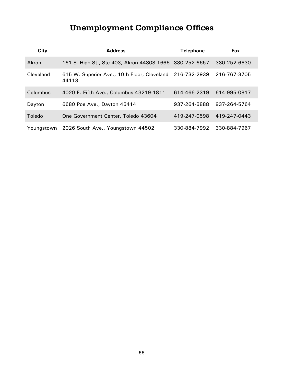# **Unemployment Compliance Offices**

<span id="page-59-0"></span>

| City       | <b>Address</b>                                                    | <b>Telephone</b> | Fax          |
|------------|-------------------------------------------------------------------|------------------|--------------|
| Akron      | 161 S. High St., Ste 403, Akron 44308-1666 330-252-6657           |                  | 330-252-6630 |
| Cleveland  | 615 W. Superior Ave., 10th Floor, Cleveland 216-732-2939<br>44113 |                  | 216-767-3705 |
| Columbus   | 4020 E. Fifth Ave., Columbus 43219-1811                           | 614-466-2319     | 614-995-0817 |
| Dayton     | 6680 Poe Ave., Dayton 45414                                       | 937-264-5888     | 937-264-5764 |
| Toledo     | One Government Center, Toledo 43604                               | 419-247-0598     | 419-247-0443 |
| Younastown | 2026 South Ave., Youngstown 44502                                 | 330-884-7992     | 330-884-7967 |